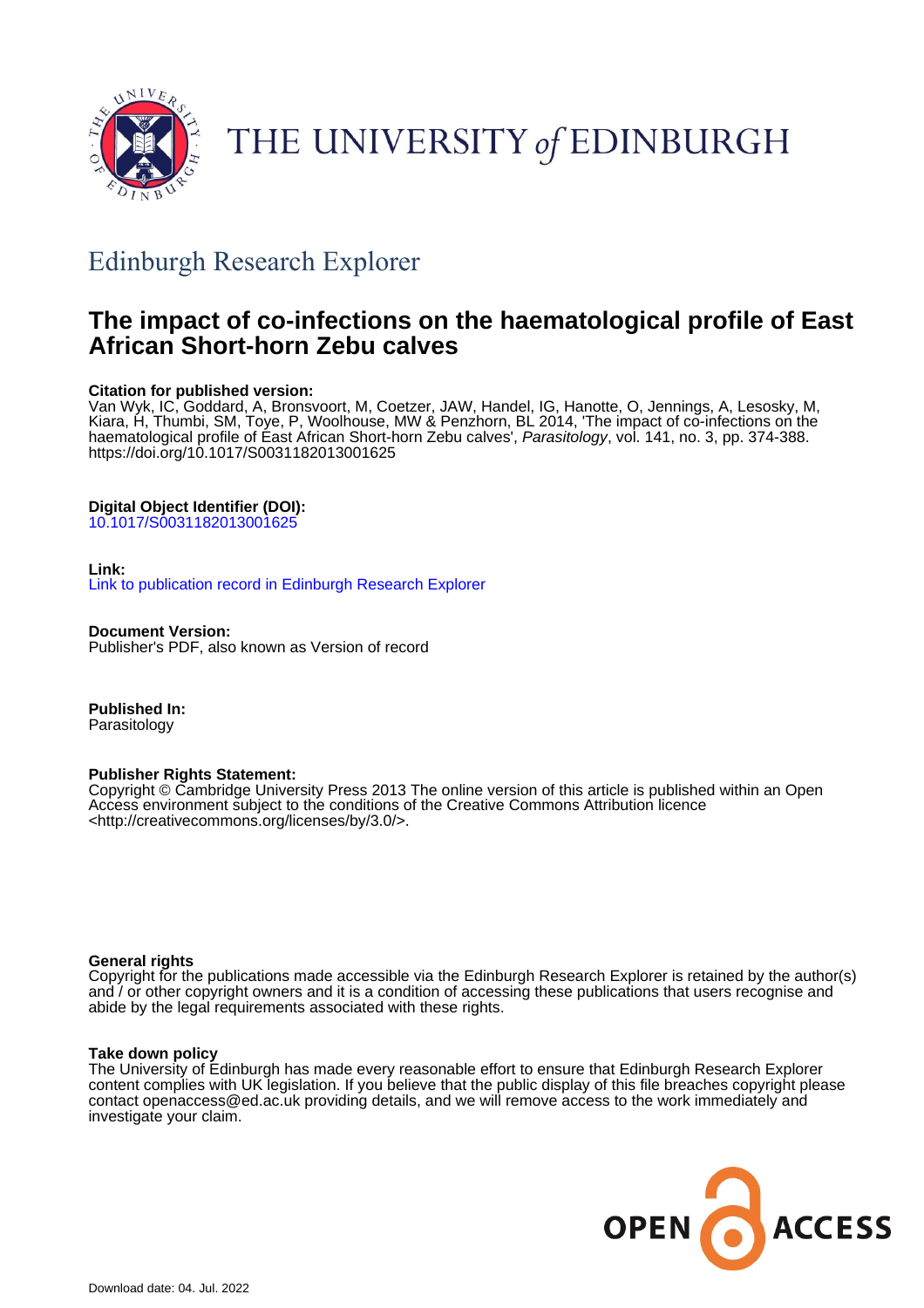

# THE UNIVERSITY of EDINBURGH

## Edinburgh Research Explorer

### **The impact of co-infections on the haematological profile of East African Short-horn Zebu calves**

#### **Citation for published version:**

Van Wyk, IC, Goddard, A, Bronsvoort, M, Coetzer, JAW, Handel, IG, Hanotte, O, Jennings, A, Lesosky, M, Kiara, H, Thumbi, SM, Toye, P, Woolhouse, MW & Penzhorn, BL 2014, 'The impact of co-infections on the haematological profile of East African Short-horn Zebu calves', Parasitology, vol. 141, no. 3, pp. 374-388. <https://doi.org/10.1017/S0031182013001625>

#### **Digital Object Identifier (DOI):**

[10.1017/S0031182013001625](https://doi.org/10.1017/S0031182013001625)

#### **Link:**

[Link to publication record in Edinburgh Research Explorer](https://www.research.ed.ac.uk/en/publications/3159e9a9-61bf-44e1-9b0a-aee0dadda89f)

**Document Version:** Publisher's PDF, also known as Version of record

**Published In:** Parasitology

#### **Publisher Rights Statement:**

Copyright © Cambridge University Press 2013 The online version of this article is published within an Open Access environment subject to the conditions of the Creative Commons Attribution licence <http://creativecommons.org/licenses/by/3.0/>.

#### **General rights**

Copyright for the publications made accessible via the Edinburgh Research Explorer is retained by the author(s) and / or other copyright owners and it is a condition of accessing these publications that users recognise and abide by the legal requirements associated with these rights.

#### **Take down policy**

The University of Edinburgh has made every reasonable effort to ensure that Edinburgh Research Explorer content complies with UK legislation. If you believe that the public display of this file breaches copyright please contact openaccess@ed.ac.uk providing details, and we will remove access to the work immediately and investigate your claim.

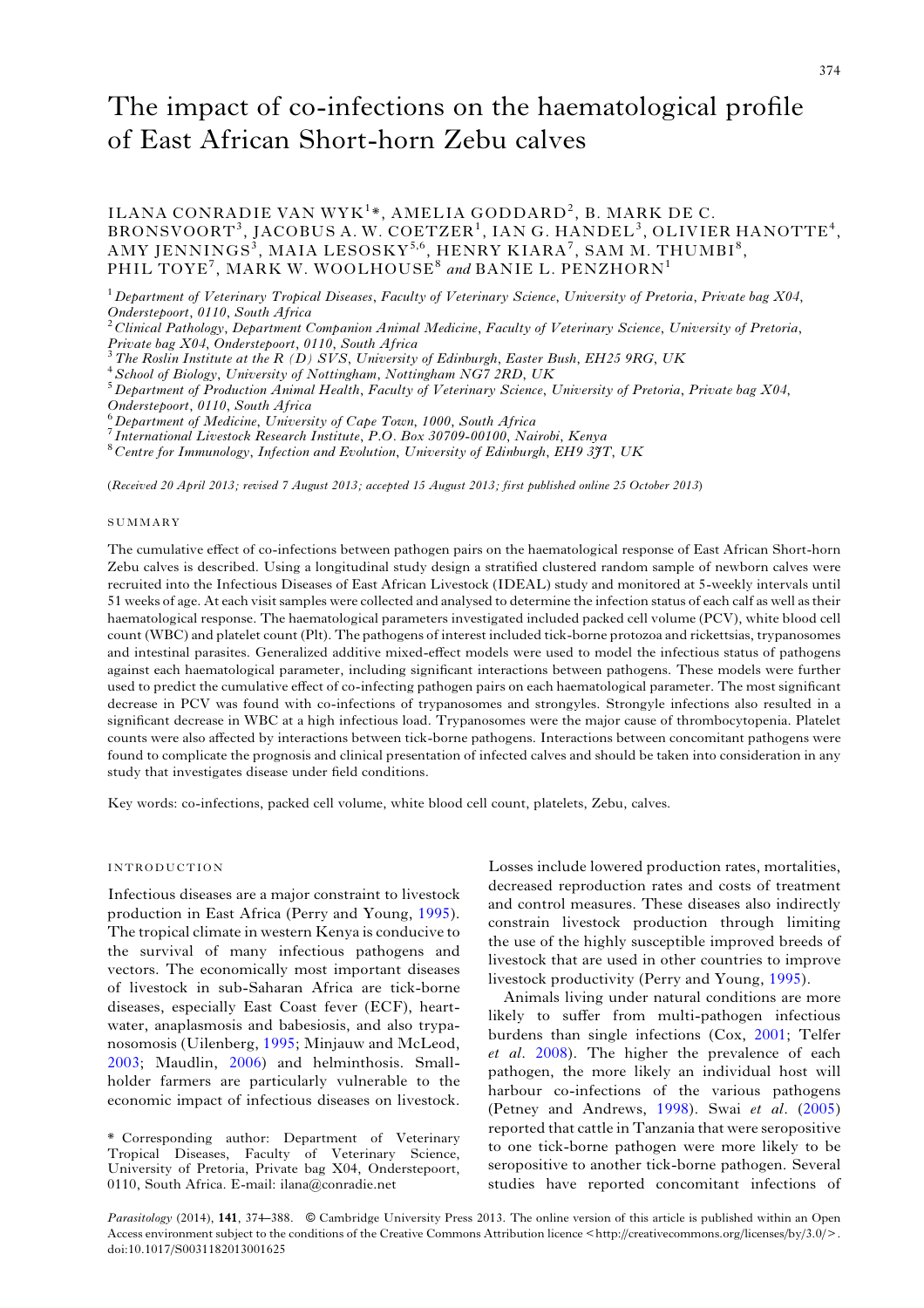### The impact of co-infections on the haematological profile of East African Short-horn Zebu calves

ILANA CONRADIE VAN WYK<sup>1</sup>\*, AMELIA GODDARD<sup>2</sup>, B. MARK DE C.  $\texttt{BRONSVOORT}^3\texttt{, IACOBUS\ A\ \texttt{.W. COETZER}^1\texttt{, IAN\ G. HANDEL}^3\texttt{, OLIVIER\ HANOTTE}^4\texttt{,}$  $\rm AMY~JENNINGS^{\tilde{3}},~MALA~LESOSKY^{5,6},~HENRY~KIARA^{7},~SAM~M.~THUMBI^{8},$ PHIL TOYE<sup>7</sup>, MARK W. WOOLHOUSE<sup>8</sup> and BANIE L. PENZHORN<sup>1</sup>

 $1$  Department of Veterinary Tropical Diseases, Faculty of Veterinary Science, University of Pretoria, Private bag X04, Onderstepoort, 0110, South Africa<br><sup>2</sup>Clinical Pathology, Department Companion Animal Medicine, Faculty of Veterinary Science, University of Pretoria,

Private bag X04, Onderstepoort, 0110, South Africa<br>
<sup>3</sup> The Roslin Institute at the R (D) SVS, University of Edinburgh, Easter Bush, EH25 9RG, UK<br>
<sup>4</sup> School of Biology, University of Nottingham, Nottingham NG7 2RD, UK<br>
<sup>5</sup>

 $^6$ Department of Medicine, University of Cape Town, 1000, South Africa<br><sup>7</sup> International Livestock Research Institute, P.O. Box 30709-00100, Nairobi, Kenya<br><sup>8</sup> Centre for Immunology, Infection and Evolution, University o

(Received 20 April 2013; revised 7 August 2013; accepted 15 August 2013; first published online 25 October 2013)

#### SUMMARY

The cumulative effect of co-infections between pathogen pairs on the haematological response of East African Short-horn Zebu calves is described. Using a longitudinal study design a stratified clustered random sample of newborn calves were recruited into the Infectious Diseases of East African Livestock (IDEAL) study and monitored at 5-weekly intervals until 51 weeks of age. At each visit samples were collected and analysed to determine the infection status of each calf as well as their haematological response. The haematological parameters investigated included packed cell volume (PCV), white blood cell count (WBC) and platelet count (Plt). The pathogens of interest included tick-borne protozoa and rickettsias, trypanosomes and intestinal parasites. Generalized additive mixed-effect models were used to model the infectious status of pathogens against each haematological parameter, including significant interactions between pathogens. These models were further used to predict the cumulative effect of co-infecting pathogen pairs on each haematological parameter. The most significant decrease in PCV was found with co-infections of trypanosomes and strongyles. Strongyle infections also resulted in a significant decrease in WBC at a high infectious load. Trypanosomes were the major cause of thrombocytopenia. Platelet counts were also affected by interactions between tick-borne pathogens. Interactions between concomitant pathogens were found to complicate the prognosis and clinical presentation of infected calves and should be taken into consideration in any study that investigates disease under field conditions.

Key words: co-infections, packed cell volume, white blood cell count, platelets, Zebu, calves.

#### INTRODUCTION

Infectious diseases are a major constraint to livestock production in East Africa (Perry and Young, [1995\)](#page-14-0). The tropical climate in western Kenya is conducive to the survival of many infectious pathogens and vectors. The economically most important diseases of livestock in sub-Saharan Africa are tick-borne diseases, especially East Coast fever (ECF), heartwater, anaplasmosis and babesiosis, and also trypanosomosis (Uilenberg, [1995](#page-14-0); Minjauw and McLeod, [2003](#page-14-0); Maudlin, [2006](#page-14-0)) and helminthosis. Smallholder farmers are particularly vulnerable to the economic impact of infectious diseases on livestock.

Losses include lowered production rates, mortalities, decreased reproduction rates and costs of treatment and control measures. These diseases also indirectly constrain livestock production through limiting the use of the highly susceptible improved breeds of livestock that are used in other countries to improve livestock productivity (Perry and Young, [1995\)](#page-14-0).

Animals living under natural conditions are more likely to suffer from multi-pathogen infectious burdens than single infections (Cox, [2001](#page-13-0); Telfer et al. [2008\)](#page-14-0). The higher the prevalence of each pathogen, the more likely an individual host will harbour co-infections of the various pathogens (Petney and Andrews, [1998\)](#page-14-0). Swai et al. [\(2005\)](#page-14-0) reported that cattle in Tanzania that were seropositive to one tick-borne pathogen were more likely to be seropositive to another tick-borne pathogen. Several studies have reported concomitant infections of

Parasitology (2014), 141, 374–388. © Cambridge University Press 2013. The online version of this article is published within an Open Access environment subject to the conditions of the Creative Commons Attribution licence <http://creativecommons.org/licenses/by/3.0/>. doi:10.1017/S0031182013001625

<sup>\*</sup> Corresponding author: Department of Veterinary Tropical Diseases, Faculty of Veterinary Science, University of Pretoria, Private bag X04, Onderstepoort, 0110, South Africa. E-mail: ilana@conradie.net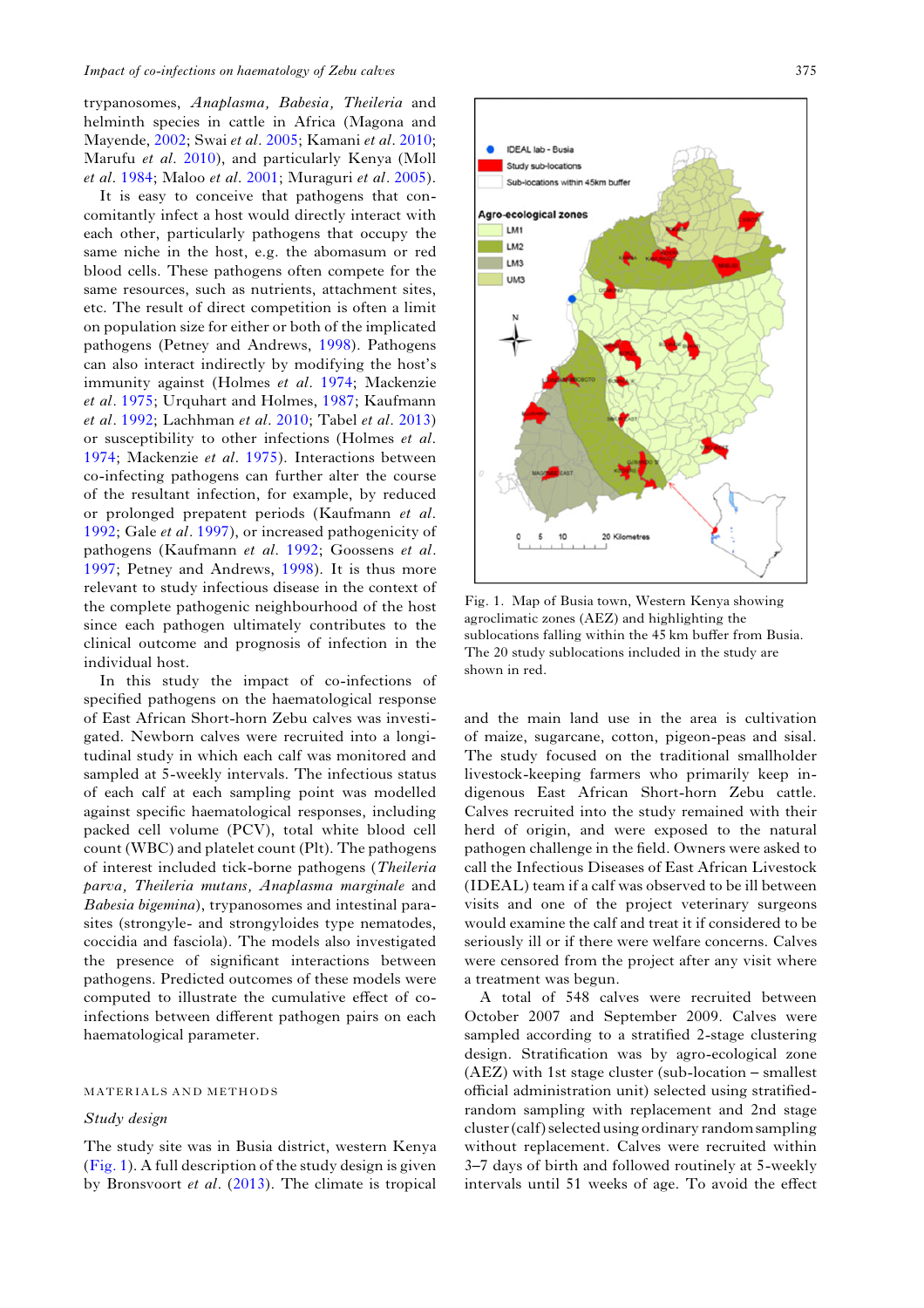trypanosomes, Anaplasma, Babesia, Theileria and helminth species in cattle in Africa (Magona and Mayende, [2002;](#page-14-0) Swai et al. [2005](#page-14-0); Kamani et al. [2010](#page-14-0); Marufu et al. [2010\)](#page-14-0), and particularly Kenya (Moll et al. [1984;](#page-14-0) Maloo et al. [2001;](#page-14-0) Muraguri et al. [2005\)](#page-14-0).

It is easy to conceive that pathogens that concomitantly infect a host would directly interact with each other, particularly pathogens that occupy the same niche in the host, e.g. the abomasum or red blood cells. These pathogens often compete for the same resources, such as nutrients, attachment sites, etc. The result of direct competition is often a limit on population size for either or both of the implicated pathogens (Petney and Andrews, [1998](#page-14-0)). Pathogens can also interact indirectly by modifying the host's immunity against (Holmes et al. [1974](#page-14-0); Mackenzie et al. [1975;](#page-14-0) Urquhart and Holmes, [1987](#page-14-0); Kaufmann et al. [1992;](#page-14-0) Lachhman et al. [2010;](#page-14-0) Tabel et al. [2013\)](#page-14-0) or susceptibility to other infections (Holmes et al. [1974;](#page-14-0) Mackenzie et al. [1975\)](#page-14-0). Interactions between co-infecting pathogens can further alter the course of the resultant infection, for example, by reduced or prolonged prepatent periods (Kaufmann et al. [1992;](#page-14-0) Gale et al. [1997\)](#page-14-0), or increased pathogenicity of pathogens (Kaufmann et al. [1992](#page-14-0); Goossens et al. [1997;](#page-14-0) Petney and Andrews, [1998](#page-14-0)). It is thus more relevant to study infectious disease in the context of the complete pathogenic neighbourhood of the host since each pathogen ultimately contributes to the clinical outcome and prognosis of infection in the individual host.

In this study the impact of co-infections of specified pathogens on the haematological response of East African Short-horn Zebu calves was investigated. Newborn calves were recruited into a longitudinal study in which each calf was monitored and sampled at 5-weekly intervals. The infectious status of each calf at each sampling point was modelled against specific haematological responses, including packed cell volume (PCV), total white blood cell count (WBC) and platelet count (Plt). The pathogens of interest included tick-borne pathogens (Theileria parva, Theileria mutans, Anaplasma marginale and Babesia bigemina), trypanosomes and intestinal parasites (strongyle- and strongyloides type nematodes, coccidia and fasciola). The models also investigated the presence of significant interactions between pathogens. Predicted outcomes of these models were computed to illustrate the cumulative effect of coinfections between different pathogen pairs on each haematological parameter.

#### MATERIALS AND METHODS

#### Study design

The study site was in Busia district, western Kenya (Fig. 1). A full description of the study design is given by Bronsvoort et al. ([2013\)](#page-13-0). The climate is tropical



Fig. 1. Map of Busia town, Western Kenya showing agroclimatic zones (AEZ) and highlighting the sublocations falling within the 45 km buffer from Busia. The 20 study sublocations included in the study are shown in red.

and the main land use in the area is cultivation of maize, sugarcane, cotton, pigeon-peas and sisal. The study focused on the traditional smallholder livestock-keeping farmers who primarily keep indigenous East African Short-horn Zebu cattle. Calves recruited into the study remained with their herd of origin, and were exposed to the natural pathogen challenge in the field. Owners were asked to call the Infectious Diseases of East African Livestock (IDEAL) team if a calf was observed to be ill between visits and one of the project veterinary surgeons would examine the calf and treat it if considered to be seriously ill or if there were welfare concerns. Calves were censored from the project after any visit where a treatment was begun.

A total of 548 calves were recruited between October 2007 and September 2009. Calves were sampled according to a stratified 2-stage clustering design. Stratification was by agro-ecological zone (AEZ) with 1st stage cluster (sub-location – smallest official administration unit) selected using stratifiedrandom sampling with replacement and 2nd stage cluster (calf) selected using ordinary random sampling without replacement. Calves were recruited within 3–7 days of birth and followed routinely at 5-weekly intervals until 51 weeks of age. To avoid the effect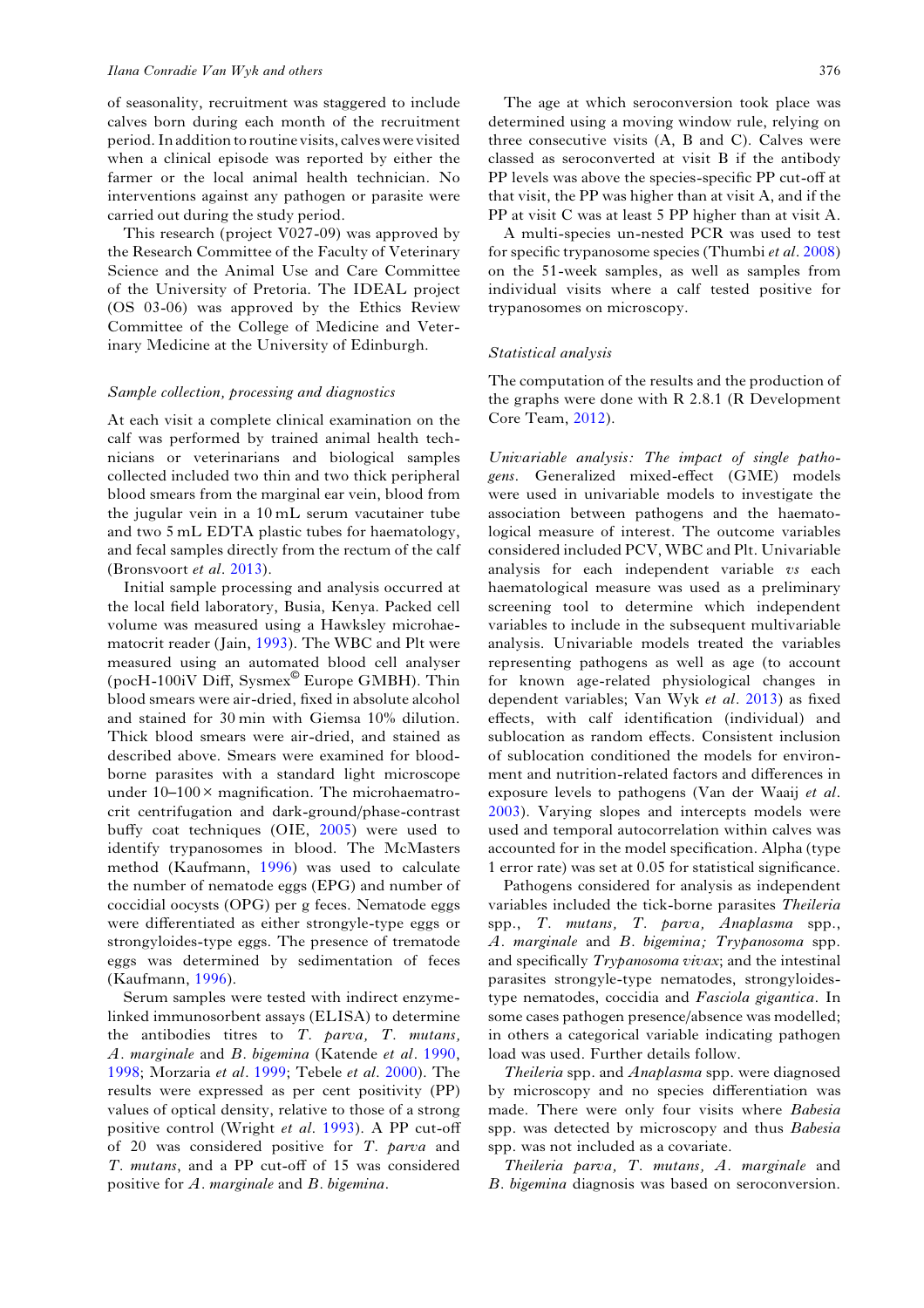#### Ilana Conradie Van Wyk and others 376

of seasonality, recruitment was staggered to include calves born during each month of the recruitment period. In addition to routine visits, calveswere visited when a clinical episode was reported by either the farmer or the local animal health technician. No interventions against any pathogen or parasite were carried out during the study period.

This research (project V027-09) was approved by the Research Committee of the Faculty of Veterinary Science and the Animal Use and Care Committee of the University of Pretoria. The IDEAL project (OS 03-06) was approved by the Ethics Review Committee of the College of Medicine and Veterinary Medicine at the University of Edinburgh.

#### Sample collection, processing and diagnostics

At each visit a complete clinical examination on the calf was performed by trained animal health technicians or veterinarians and biological samples collected included two thin and two thick peripheral blood smears from the marginal ear vein, blood from the jugular vein in a 10 mL serum vacutainer tube and two 5 mL EDTA plastic tubes for haematology, and fecal samples directly from the rectum of the calf (Bronsvoort et al. [2013\)](#page-13-0).

Initial sample processing and analysis occurred at the local field laboratory, Busia, Kenya. Packed cell volume was measured using a Hawksley microhaematocrit reader (Jain, [1993](#page-14-0)). The WBC and Plt were measured using an automated blood cell analyser (pocH-100iV Diff, Sysmex© Europe GMBH). Thin blood smears were air-dried, fixed in absolute alcohol and stained for 30 min with Giemsa 10% dilution. Thick blood smears were air-dried, and stained as described above. Smears were examined for bloodborne parasites with a standard light microscope under  $10-100 \times$  magnification. The microhaematrocrit centrifugation and dark-ground/phase-contrast buffy coat techniques (OIE, [2005](#page-14-0)) were used to identify trypanosomes in blood. The McMasters method (Kaufmann, [1996](#page-14-0)) was used to calculate the number of nematode eggs (EPG) and number of coccidial oocysts (OPG) per g feces. Nematode eggs were differentiated as either strongyle-type eggs or strongyloides-type eggs. The presence of trematode eggs was determined by sedimentation of feces (Kaufmann, [1996](#page-14-0)).

Serum samples were tested with indirect enzymelinked immunosorbent assays (ELISA) to determine the antibodies titres to  $T.$  parva,  $T.$  mutans, A. marginale and B. bigemina (Katende et al. [1990](#page-14-0), [1998](#page-14-0); Morzaria et al. [1999](#page-14-0); Tebele et al. [2000\)](#page-14-0). The results were expressed as per cent positivity (PP) values of optical density, relative to those of a strong positive control (Wright et al. [1993\)](#page-15-0). A PP cut-off of 20 was considered positive for T. parva and T. mutans, and a PP cut-off of 15 was considered positive for A. marginale and B. bigemina.

The age at which seroconversion took place was determined using a moving window rule, relying on three consecutive visits (A, B and C). Calves were classed as seroconverted at visit B if the antibody PP levels was above the species-specific PP cut-off at that visit, the PP was higher than at visit A, and if the PP at visit C was at least 5 PP higher than at visit A.

A multi-species un-nested PCR was used to test for specific trypanosome species (Thumbi *et al.* [2008\)](#page-14-0) on the 51-week samples, as well as samples from individual visits where a calf tested positive for trypanosomes on microscopy.

#### Statistical analysis

The computation of the results and the production of the graphs were done with R 2.8.1 (R Development Core Team, [2012](#page-14-0)).

Univariable analysis: The impact of single pathogens. Generalized mixed-effect (GME) models were used in univariable models to investigate the association between pathogens and the haematological measure of interest. The outcome variables considered included PCV, WBC and Plt. Univariable analysis for each independent variable vs each haematological measure was used as a preliminary screening tool to determine which independent variables to include in the subsequent multivariable analysis. Univariable models treated the variables representing pathogens as well as age (to account for known age-related physiological changes in dependent variables; Van Wyk et al. [2013\)](#page-14-0) as fixed effects, with calf identification (individual) and sublocation as random effects. Consistent inclusion of sublocation conditioned the models for environment and nutrition-related factors and differences in exposure levels to pathogens (Van der Waaij et al. [2003](#page-14-0)). Varying slopes and intercepts models were used and temporal autocorrelation within calves was accounted for in the model specification. Alpha (type 1 error rate) was set at 0.05 for statistical significance.

Pathogens considered for analysis as independent variables included the tick-borne parasites Theileria spp., T. mutans, T. parva, Anaplasma spp., A. marginale and B. bigemina; Trypanosoma spp. and specifically Trypanosoma vivax; and the intestinal parasites strongyle-type nematodes, strongyloidestype nematodes, coccidia and Fasciola gigantica. In some cases pathogen presence/absence was modelled; in others a categorical variable indicating pathogen load was used. Further details follow.

Theileria spp. and Anaplasma spp. were diagnosed by microscopy and no species differentiation was made. There were only four visits where Babesia spp. was detected by microscopy and thus Babesia spp. was not included as a covariate.

Theileria parva, T. mutans, A. marginale and B. bigemina diagnosis was based on seroconversion.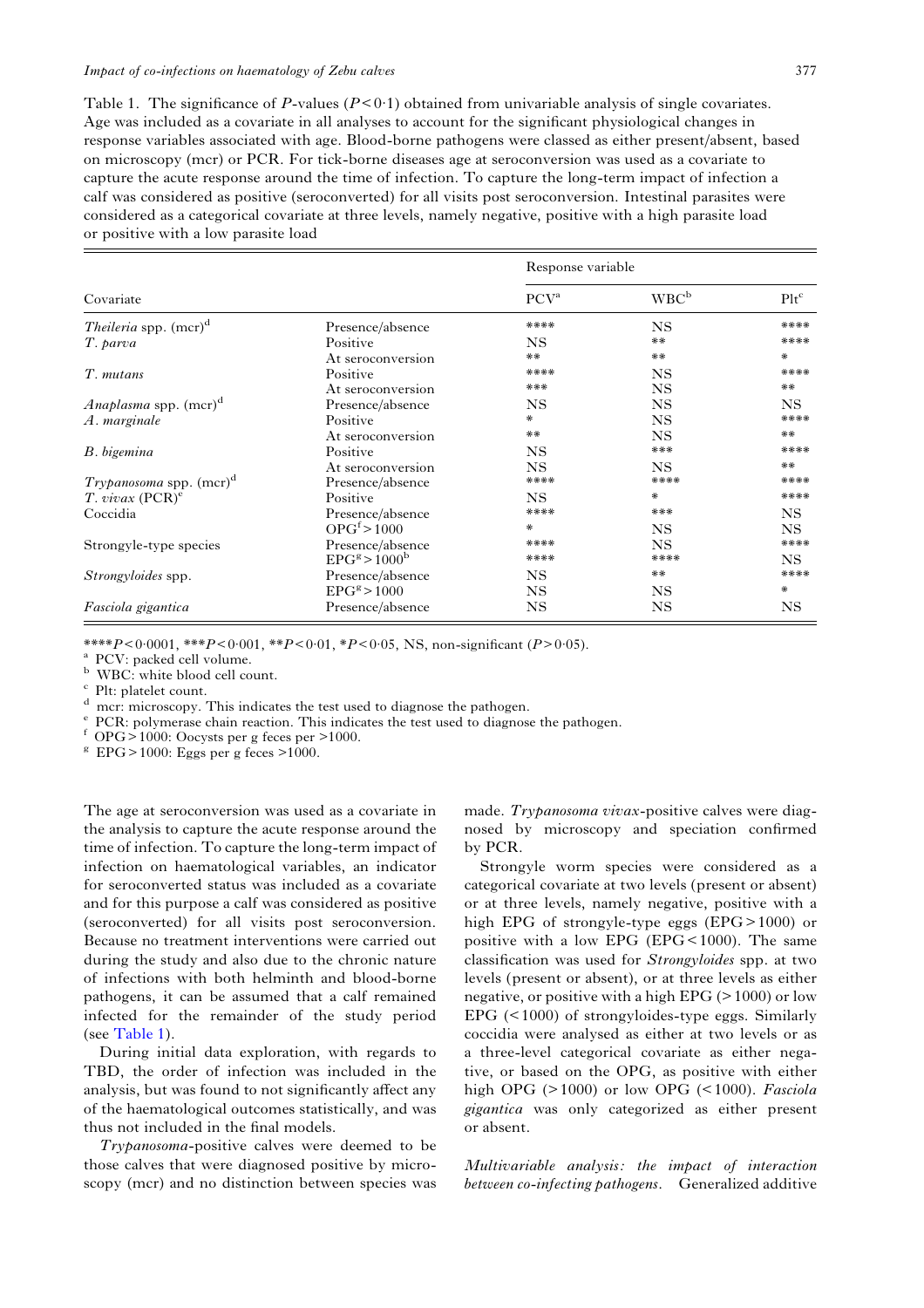<span id="page-4-0"></span>Table 1. The significance of P-values  $(P<0.1)$  obtained from univariable analysis of single covariates. Age was included as a covariate in all analyses to account for the significant physiological changes in response variables associated with age. Blood-borne pathogens were classed as either present/absent, based on microscopy (mcr) or PCR. For tick-borne diseases age at seroconversion was used as a covariate to capture the acute response around the time of infection. To capture the long-term impact of infection a calf was considered as positive (seroconverted) for all visits post seroconversion. Intestinal parasites were considered as a categorical covariate at three levels, namely negative, positive with a high parasite load or positive with a low parasite load

|                                          |                            | Response variable |                  |           |
|------------------------------------------|----------------------------|-------------------|------------------|-----------|
| Covariate                                |                            | PCV <sup>a</sup>  | WBC <sup>b</sup> | $Plt^c$   |
| <i>Theileria</i> spp. (mcr) <sup>d</sup> | Presence/absence           | ****              | <b>NS</b>        | ****      |
| T. parva                                 | Positive                   | <b>NS</b>         | **               | ****      |
|                                          | At seroconversion          | **                | **               | *         |
| T. mutans                                | Positive                   | ****              | NS.              | ****      |
|                                          | At seroconversion          | ***               | <b>NS</b>        | **        |
| <i>Anaplasma</i> spp. $(mcr)^d$          | Presence/absence           | NS.               | <b>NS</b>        | NS.       |
| A. marginale                             | Positive                   | ⋇                 | <b>NS</b>        | ****      |
|                                          | At seroconversion          | **                | <b>NS</b>        | **        |
| B. bigemina                              | Positive                   | <b>NS</b>         | ***              | ****      |
|                                          | At seroconversion          | <b>NS</b>         | <b>NS</b>        | **        |
| <i>Trypanosoma</i> spp. $(mcr)^{a}$      | Presence/absence           | ****              | ****             | ****      |
| T. vivax $(PCR)^e$                       | Positive                   | NS.               | *                | ****      |
| Coccidia                                 | Presence/absence           | ****              | ***              | NS.       |
|                                          | OPG <sup>f</sup> > 1000    | ∗                 | <b>NS</b>        | NS.       |
| Strongyle-type species                   | Presence/absence           | ****              | <b>NS</b>        | ****      |
|                                          | $EPGg$ > 1000 <sup>b</sup> | ****              | ****             | NS.       |
| <i>Strongyloides</i> spp.                | Presence/absence           | NS.               | **               | ****      |
|                                          | EPG <sup>g</sup> > 1000    | <b>NS</b>         | NS.              | ∗         |
| Fasciola gigantica                       | Presence/absence           | NS                | NS               | <b>NS</b> |

\*\*\*\* $P < 0.0001$ , \*\* $P < 0.01$ , \* $P < 0.05$ , NS, non-significant ( $P > 0.05$ ).<br>
<sup>a</sup> PCV: packed cell volume.<br>
<sup>b</sup> WBC: white blood cell count.<br>
<sup>c</sup> Plt: platelet count.<br>
<sup>d</sup> mcr: microscopy. This indicates the test used to di

The age at seroconversion was used as a covariate in the analysis to capture the acute response around the time of infection. To capture the long-term impact of infection on haematological variables, an indicator for seroconverted status was included as a covariate and for this purpose a calf was considered as positive (seroconverted) for all visits post seroconversion. Because no treatment interventions were carried out during the study and also due to the chronic nature of infections with both helminth and blood-borne pathogens, it can be assumed that a calf remained infected for the remainder of the study period (see Table 1).

During initial data exploration, with regards to TBD, the order of infection was included in the analysis, but was found to not significantly affect any of the haematological outcomes statistically, and was thus not included in the final models.

Trypanosoma-positive calves were deemed to be those calves that were diagnosed positive by microscopy (mcr) and no distinction between species was

made. Trypanosoma vivax-positive calves were diagnosed by microscopy and speciation confirmed by PCR.

Strongyle worm species were considered as a categorical covariate at two levels (present or absent) or at three levels, namely negative, positive with a high EPG of strongyle-type eggs (EPG> 1000) or positive with a low EPG (EPG $<$ 1000). The same classification was used for Strongyloides spp. at two levels (present or absent), or at three levels as either negative, or positive with a high EPG  $(>1000)$  or low EPG (< 1000) of strongyloides-type eggs. Similarly coccidia were analysed as either at two levels or as a three-level categorical covariate as either negative, or based on the OPG, as positive with either high OPG  $(>1000)$  or low OPG  $(<1000)$ . Fasciola gigantica was only categorized as either present or absent.

Multivariable analysis: the impact of interaction between co-infecting pathogens. Generalized additive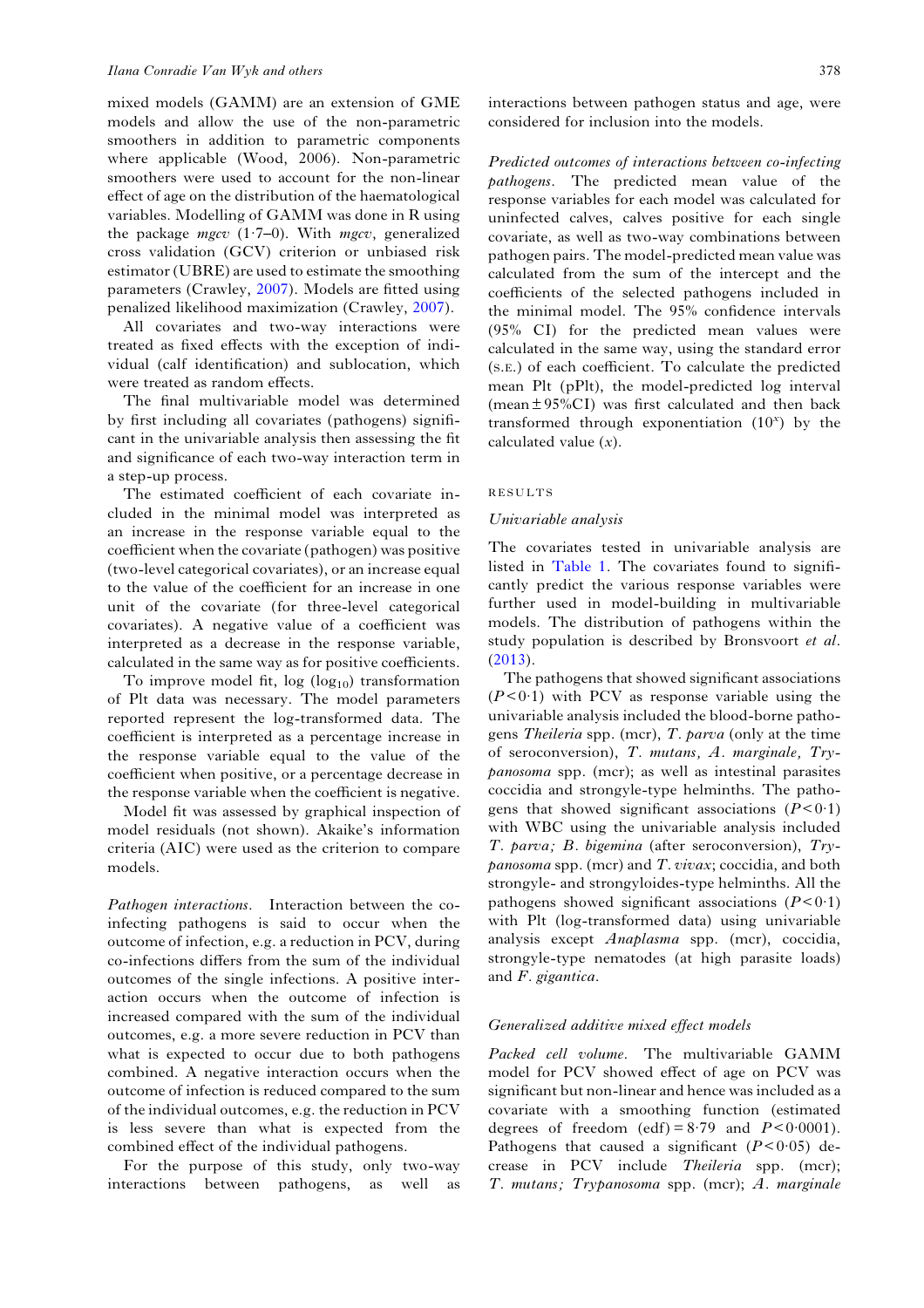mixed models (GAMM) are an extension of GME models and allow the use of the non-parametric smoothers in addition to parametric components where applicable (Wood, 2006). Non-parametric smoothers were used to account for the non-linear effect of age on the distribution of the haematological variables. Modelling of GAMM was done in R using the package mgcv  $(1.7-0)$ . With mgcv, generalized cross validation (GCV) criterion or unbiased risk estimator (UBRE) are used to estimate the smoothing parameters (Crawley, [2007\)](#page-13-0). Models are fitted using penalized likelihood maximization (Crawley, [2007](#page-13-0)).

All covariates and two-way interactions were treated as fixed effects with the exception of individual (calf identification) and sublocation, which were treated as random effects.

The final multivariable model was determined by first including all covariates (pathogens) significant in the univariable analysis then assessing the fit and significance of each two-way interaction term in a step-up process.

The estimated coefficient of each covariate included in the minimal model was interpreted as an increase in the response variable equal to the coefficient when the covariate (pathogen) was positive (two-level categorical covariates), or an increase equal to the value of the coefficient for an increase in one unit of the covariate (for three-level categorical covariates). A negative value of a coefficient was interpreted as a decrease in the response variable, calculated in the same way as for positive coefficients.

To improve model fit,  $log (log_{10})$  transformation of Plt data was necessary. The model parameters reported represent the log-transformed data. The coefficient is interpreted as a percentage increase in the response variable equal to the value of the coefficient when positive, or a percentage decrease in the response variable when the coefficient is negative.

Model fit was assessed by graphical inspection of model residuals (not shown). Akaike's information criteria (AIC) were used as the criterion to compare models.

Pathogen interactions. Interaction between the coinfecting pathogens is said to occur when the outcome of infection, e.g. a reduction in PCV, during co-infections differs from the sum of the individual outcomes of the single infections. A positive interaction occurs when the outcome of infection is increased compared with the sum of the individual outcomes, e.g. a more severe reduction in PCV than what is expected to occur due to both pathogens combined. A negative interaction occurs when the outcome of infection is reduced compared to the sum of the individual outcomes, e.g. the reduction in PCV is less severe than what is expected from the combined effect of the individual pathogens.

For the purpose of this study, only two-way interactions between pathogens, as well as interactions between pathogen status and age, were considered for inclusion into the models.

Predicted outcomes of interactions between co-infecting pathogens. The predicted mean value of the response variables for each model was calculated for uninfected calves, calves positive for each single covariate, as well as two-way combinations between pathogen pairs. The model-predicted mean value was calculated from the sum of the intercept and the coefficients of the selected pathogens included in the minimal model. The 95% confidence intervals (95% CI) for the predicted mean values were calculated in the same way, using the standard error (S.E.) of each coefficient. To calculate the predicted mean Plt (pPlt), the model-predicted log interval (mean  $\pm$  95%CI) was first calculated and then back transformed through exponentiation  $(10<sup>x</sup>)$  by the calculated value  $(x)$ .

#### RESULTS

#### Univariable analysis

The covariates tested in univariable analysis are listed in [Table 1](#page-4-0). The covariates found to significantly predict the various response variables were further used in model-building in multivariable models. The distribution of pathogens within the study population is described by Bronsvoort et al. ([2013\)](#page-13-0).

The pathogens that showed significant associations  $(P<0.1)$  with PCV as response variable using the univariable analysis included the blood-borne pathogens Theileria spp. (mcr), T. parva (only at the time of seroconversion), T. mutans, A. marginale, Trypanosoma spp. (mcr); as well as intestinal parasites coccidia and strongyle-type helminths. The pathogens that showed significant associations  $(P<0.1)$ with WBC using the univariable analysis included T. parva; B. bigemina (after seroconversion), Try $panosoma$  spp. (mcr) and  $T.$  vivax; coccidia, and both strongyle- and strongyloides-type helminths. All the pathogens showed significant associations  $(P<0.1)$ with Plt (log-transformed data) using univariable analysis except Anaplasma spp. (mcr), coccidia, strongyle-type nematodes (at high parasite loads) and F. gigantica.

#### Generalized additive mixed effect models

Packed cell volume. The multivariable GAMM model for PCV showed effect of age on PCV was significant but non-linear and hence was included as a covariate with a smoothing function (estimated degrees of freedom (edf) =  $8.79$  and  $P < 0.0001$ ). Pathogens that caused a significant  $(P<0.05)$  decrease in PCV include Theileria spp. (mcr); T. mutans; Trypanosoma spp. (mcr); A. marginale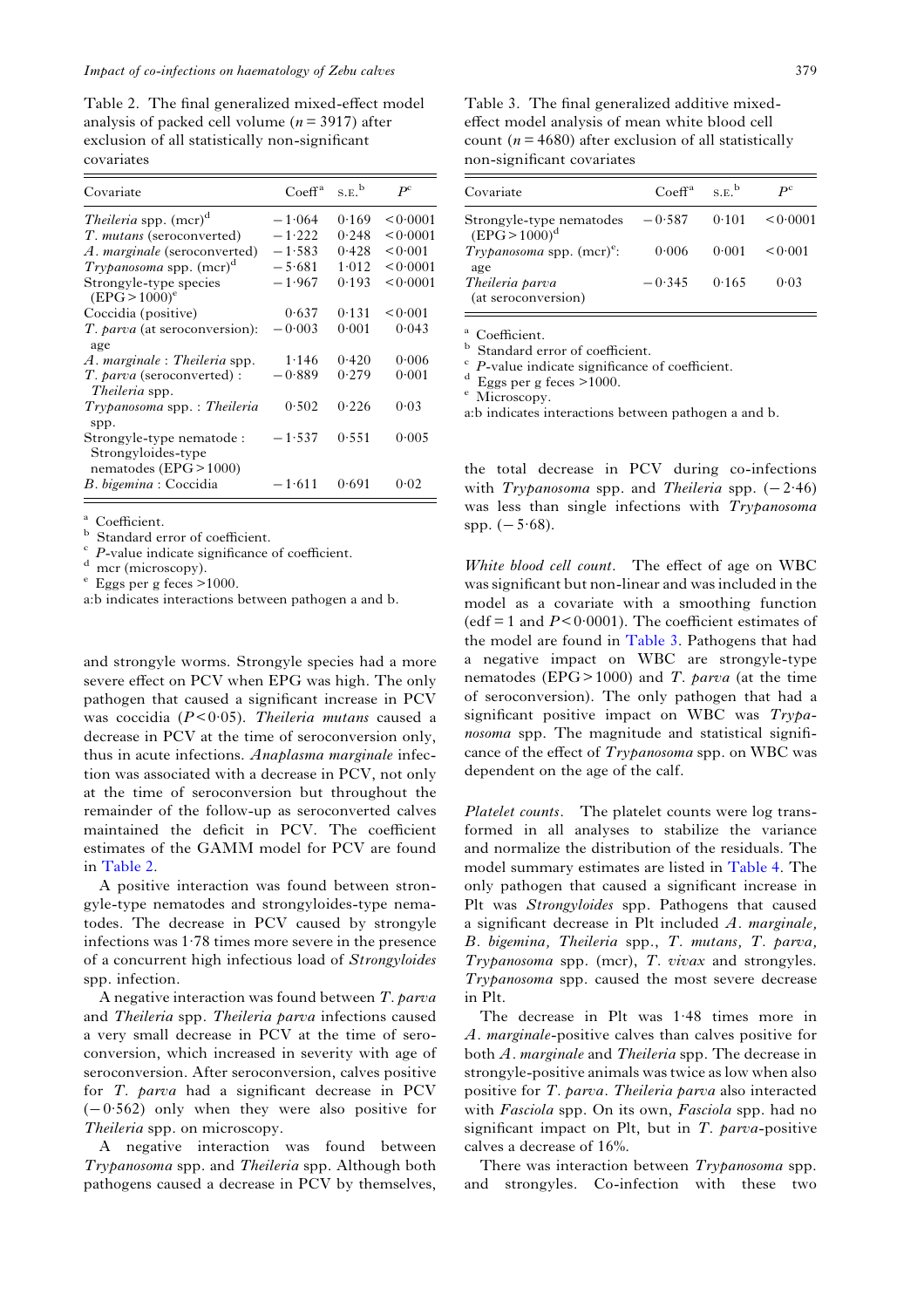Table 2. The final generalized mixed-effect model analysis of packed cell volume ( $n = 3917$ ) after exclusion of all statistically non-significant covariates

| Covariate                                                                 | Co <sup>a</sup> | S.E. <sup>b</sup> | $P^{\rm c}$ |
|---------------------------------------------------------------------------|-----------------|-------------------|-------------|
| <i>Theileria</i> spp. (mcr) <sup>d</sup>                                  | $-1.064$        | 0.169             | 0.0001      |
| <i>T. mutans</i> (seroconverted)                                          | $-1.222$        | 0.248             | 0.0001      |
| <i>A. marginale</i> (seroconverted)                                       | $-1.583$        | 0.428             | < 0.001     |
| Trypanosoma spp. $(mcr)^d$                                                | $-5.681$        | 1.012             | 0.0001      |
| Strongyle-type species<br>$(EPG > 1000)^e$                                | $-1.967$        | 0.193             | < 0.0001    |
| Coccidia (positive)                                                       | 0.637           | 0.131             | 0.001       |
| <i>T. parva</i> (at seroconversion):<br>age                               | $-0.003$        | 0.001             | 0.043       |
| $A.$ marginale : Theileria spp.                                           | 1.146           | 0.420             | 0.006       |
| <i>T. parva</i> (seroconverted) :<br><i>Theileria</i> spp.                | $-0.889$        | 0.279             | 0.001       |
| Trypanosoma spp.: Theileria<br>spp.                                       | 0.502           | 0.226             | 0.03        |
| Strongyle-type nematode :<br>Strongyloides-type<br>nematodes (EPG > 1000) | $-1.537$        | 0.551             | 0.005       |
| B. bigemina: Coccidia                                                     | $-1.611$        | 0.691             | 0.02        |

<sup>a</sup> Coefficient.<br><sup>b</sup> Standard error of coefficient.<br><sup>c</sup> P-value indicate significance of coefficient.<br> $\frac{d}{dx}$  mcr (microscopy).<br>e Eggs per g feces >1000.

a:b indicates interactions between pathogen a and b.

and strongyle worms. Strongyle species had a more severe effect on PCV when EPG was high. The only pathogen that caused a significant increase in PCV was coccidia  $(P<0.05)$ . Theileria mutans caused a decrease in PCV at the time of seroconversion only, thus in acute infections. Anaplasma marginale infection was associated with a decrease in PCV, not only at the time of seroconversion but throughout the remainder of the follow-up as seroconverted calves maintained the deficit in PCV. The coefficient estimates of the GAMM model for PCV are found in Table 2.

A positive interaction was found between strongyle-type nematodes and strongyloides-type nematodes. The decrease in PCV caused by strongyle infections was 1·78 times more severe in the presence of a concurrent high infectious load of Strongyloides spp. infection.

A negative interaction was found between T. parva and Theileria spp. Theileria parva infections caused a very small decrease in PCV at the time of seroconversion, which increased in severity with age of seroconversion. After seroconversion, calves positive for T. parva had a significant decrease in PCV (−0·562) only when they were also positive for Theileria spp. on microscopy.

A negative interaction was found between Trypanosoma spp. and Theileria spp. Although both pathogens caused a decrease in PCV by themselves,

Table 3. The final generalized additive mixedeffect model analysis of mean white blood cell count ( $n = 4680$ ) after exclusion of all statistically non-significant covariates

| Covariate                                    | Co <sup>a</sup> | $S$ F <sup>b</sup> | $\mathbf{p}^{\rm c}$ |
|----------------------------------------------|-----------------|--------------------|----------------------|
| Strongyle-type nematodes<br>$(EPG > 1000)^d$ | $-0.587$        | 0.101              | 0.0001               |
| Trypanosoma spp. $(mcr)^e$ :<br>age          | 0.006           | 0.001              | < 0.001              |
| Theileria parva<br>(at seroconversion)       | $-0.345$        | 0.165              | 0.03                 |

<sup>a</sup> Coefficient.<br><sup>b</sup> Standard error of coefficient.<br><sup>c</sup> P-value indicate significance of coefficient.<br>d Eggs per g feces >1000.<br>e Microscopy.

a:b indicates interactions between pathogen a and b.

the total decrease in PCV during co-infections with  $Trypanosoma$  spp. and Theileria spp. ( $-2.46$ ) was less than single infections with Trypanosoma spp.  $(-5.68)$ .

White blood cell count. The effect of age on WBC was significant but non-linear and was included in the model as a covariate with a smoothing function  $\text{(edf = 1 and } P < 0.0001)$ . The coefficient estimates of the model are found in Table 3. Pathogens that had a negative impact on WBC are strongyle-type nematodes (EPG $> 1000$ ) and T. parva (at the time of seroconversion). The only pathogen that had a significant positive impact on WBC was Trypanosoma spp. The magnitude and statistical significance of the effect of Trypanosoma spp. on WBC was dependent on the age of the calf.

Platelet counts. The platelet counts were log transformed in all analyses to stabilize the variance and normalize the distribution of the residuals. The model summary estimates are listed in [Table 4](#page-7-0). The only pathogen that caused a significant increase in Plt was Strongyloides spp. Pathogens that caused a significant decrease in Plt included  $A$ . marginale, B. bigemina, Theileria spp., T. mutans, T. parva, Trypanosoma spp. (mcr), T. vivax and strongyles. Trypanosoma spp. caused the most severe decrease in Plt.

The decrease in Plt was 1·48 times more in A. marginale-positive calves than calves positive for both A. marginale and Theileria spp. The decrease in strongyle-positive animals was twice as low when also positive for T. parva. Theileria parva also interacted with Fasciola spp. On its own, Fasciola spp. had no significant impact on Plt, but in  $T.$  parva-positive calves a decrease of 16%.

There was interaction between Trypanosoma spp. and strongyles. Co-infection with these two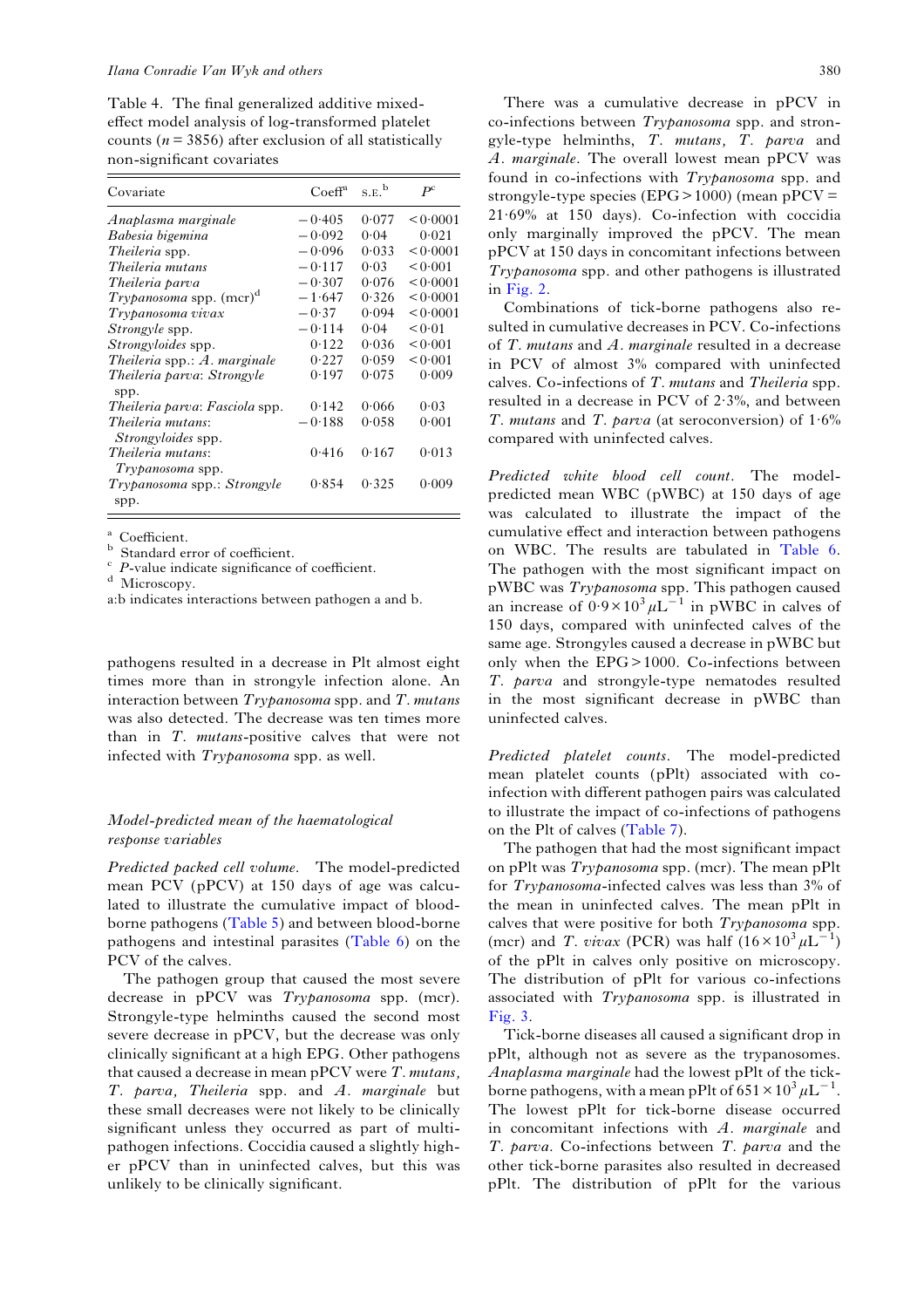<span id="page-7-0"></span>Table 4. The final generalized additive mixedeffect model analysis of log-transformed platelet counts ( $n = 3856$ ) after exclusion of all statistically non-significant covariates

| Covariate                                      | $C$ oeff <sup>a</sup> | S.E. <sup>b</sup> | $P^{\rm c}$ |
|------------------------------------------------|-----------------------|-------------------|-------------|
| Anaplasma marginale                            | $-0.405$              | 0.077             | 0.0001      |
| Babesia bigemina                               | $-0.092$              | 0.04              | 0.021       |
| <i>Theileria</i> spp.                          | $-0.096$              | 0.033             | 0.0001      |
| Theileria mutans                               | $-0.117$              | 0.03              | < 0.001     |
| Theileria parva                                | $-0.307$              | 0.076             | < 0.0001    |
| Trypanosoma spp. $(mcr)^d$                     | $-1.647$              | 0.326             | 0.0001      |
| Trypanosoma vivax                              | $-0.37$               | 0.094             | < 0.0001    |
| <i>Strongyle</i> spp.                          | $-0.114$              | 0.04              | < 0.01      |
| <i>Strongyloides</i> spp.                      | 0.122                 | 0.036             | 0.001       |
| Theileria spp.: $A$ . marginale                | 0.227                 | 0.059             | < 0.001     |
| Theileria parva: Strongyle<br>spp.             | 0.197                 | 0.075             | 0.009       |
| Theileria parva: Fasciola spp.                 | 0.142                 | 0.066             | 0.03        |
| Theileria mutans:<br><i>Strongyloides</i> spp. | 0.188                 | 0.058             | 0.001       |
| Theileria mutans:<br>Trypanosoma spp.          | 0.416                 | 0.167             | 0.013       |
| Trypanosoma spp.: Strongyle<br>spp.            | 0.854                 | 0.325             | 0.009       |

<sup>a</sup> Coefficient.<br><sup>b</sup> Standard error of coefficient.<br><sup>c</sup> *P*-value indicate significance of coefficient.<br>d Microscopy.

a:b indicates interactions between pathogen a and b.

pathogens resulted in a decrease in Plt almost eight times more than in strongyle infection alone. An interaction between  $Trypanosoma$  spp. and  $T.$  mutans was also detected. The decrease was ten times more than in T. mutans-positive calves that were not infected with Trypanosoma spp. as well.

#### Model-predicted mean of the haematological response variables

Predicted packed cell volume. The model-predicted mean PCV (pPCV) at 150 days of age was calculated to illustrate the cumulative impact of bloodborne pathogens ([Table 5\)](#page-8-0) and between blood-borne pathogens and intestinal parasites ([Table 6](#page-9-0)) on the PCV of the calves.

The pathogen group that caused the most severe decrease in pPCV was *Trypanosoma* spp. (mcr). Strongyle-type helminths caused the second most severe decrease in pPCV, but the decrease was only clinically significant at a high EPG. Other pathogens that caused a decrease in mean  $pPCV$  were  $T$ . mutans, T. parva, Theileria spp. and A. marginale but these small decreases were not likely to be clinically significant unless they occurred as part of multipathogen infections. Coccidia caused a slightly higher pPCV than in uninfected calves, but this was unlikely to be clinically significant.

There was a cumulative decrease in pPCV in co-infections between Trypanosoma spp. and strongyle-type helminths, T. mutans, T. parva and A. marginale. The overall lowest mean pPCV was found in co-infections with Trypanosoma spp. and strongyle-type species (EPG > 1000) (mean  $pPCV =$ 21·69% at 150 days). Co-infection with coccidia only marginally improved the pPCV. The mean pPCV at 150 days in concomitant infections between Trypanosoma spp. and other pathogens is illustrated in [Fig. 2.](#page-9-0)

Combinations of tick-borne pathogens also resulted in cumulative decreases in PCV. Co-infections of  $T$ . mutans and  $A$ . marginale resulted in a decrease in PCV of almost 3% compared with uninfected calves. Co-infections of T. mutans and Theileria spp. resulted in a decrease in PCV of 2·3%, and between T. mutans and T. parva (at seroconversion) of  $1.6\%$ compared with uninfected calves.

Predicted white blood cell count. The modelpredicted mean WBC (pWBC) at 150 days of age was calculated to illustrate the impact of the cumulative effect and interaction between pathogens on WBC. The results are tabulated in [Table 6](#page-9-0). The pathogen with the most significant impact on pWBC was Trypanosoma spp. This pathogen caused an increase of  $0.9 \times 10^3 \mu L^{-1}$  in pWBC in calves of 150 days, compared with uninfected calves of the same age. Strongyles caused a decrease in pWBC but only when the EPG> 1000. Co-infections between T. parva and strongyle-type nematodes resulted in the most significant decrease in pWBC than uninfected calves.

Predicted platelet counts. The model-predicted mean platelet counts (pPlt) associated with coinfection with different pathogen pairs was calculated to illustrate the impact of co-infections of pathogens on the Plt of calves [\(Table 7](#page-10-0)).

The pathogen that had the most significant impact on pPlt was Trypanosoma spp. (mcr). The mean pPlt for Trypanosoma-infected calves was less than 3% of the mean in uninfected calves. The mean pPlt in calves that were positive for both Trypanosoma spp. (mcr) and T. vivax (PCR) was half  $(16 \times 10^3 \mu L^{-1})$ of the pPlt in calves only positive on microscopy. The distribution of pPlt for various co-infections associated with Trypanosoma spp. is illustrated in [Fig. 3](#page-11-0).

Tick-borne diseases all caused a significant drop in pPlt, although not as severe as the trypanosomes. Anaplasma marginale had the lowest pPlt of the tickborne pathogens, with a mean pPlt of  $651 \times 10^3 \mu L^{-1}$ . The lowest pPlt for tick-borne disease occurred in concomitant infections with A. marginale and T. parva. Co-infections between T. parva and the other tick-borne parasites also resulted in decreased pPlt. The distribution of pPlt for the various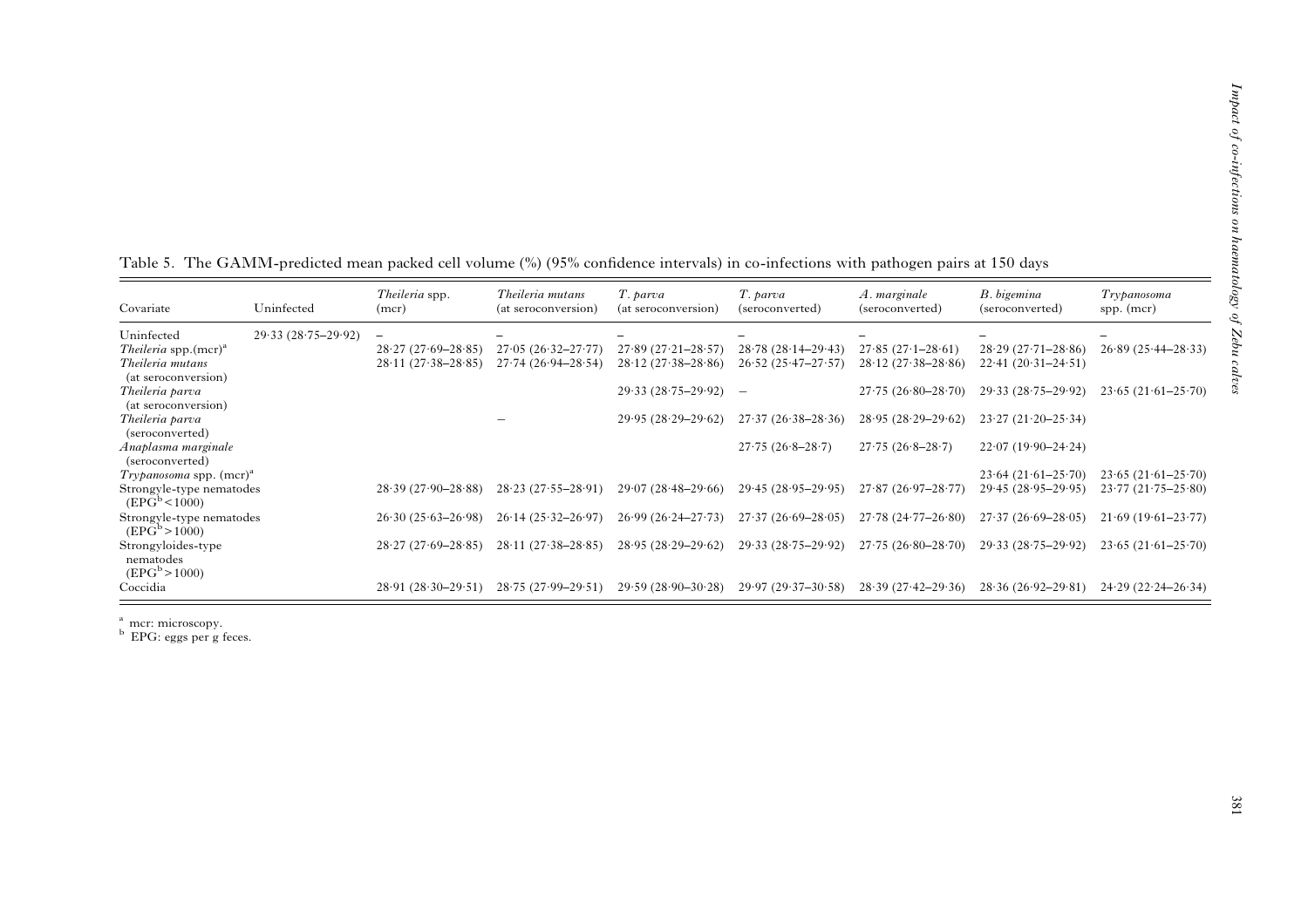| Covariate                                                 | Uninfected           | Theileria spp.<br>(mcr) | Theileria mutans<br>(at seroconversion) | T. parva<br>(at seroconversion) | T. parva<br>(seroconverted) | A. marginale<br>(seroconverted) | B. bigemina<br>(seroconverted) | Trypanosoma<br>spp. (mcr) |
|-----------------------------------------------------------|----------------------|-------------------------|-----------------------------------------|---------------------------------|-----------------------------|---------------------------------|--------------------------------|---------------------------|
| Uninfected                                                | $29.33(28.75-29.92)$ |                         |                                         |                                 |                             |                                 |                                |                           |
| <i>Theileria</i> spp.(mcr) <sup>a</sup>                   |                      | $28.27(27.69 - 28.85)$  | $27.05(26.32 - 27.77)$                  | $27.89(27.21 - 28.57)$          | $28.78(28.14-29.43)$        | $27.85(27.1-28.61)$             | $28.29(27.71 - 28.86)$         | $26.89(25.44 - 28.33)$    |
| Theileria mutans<br>(at seroconversion)                   |                      | $28.11(27.38 - 28.85)$  | $27.74(26.94 - 28.54)$                  | $28.12(27.38 - 28.86)$          | $26.52(25.47 - 27.57)$      | $28.12(27.38 - 28.86)$          | $22.41(20.31-24.51)$           |                           |
| Theileria parva                                           |                      |                         |                                         | $29.33(28.75-29.92)$            | $\overline{\phantom{a}}$    | $27.75(26.80-28.70)$            | $29.33(28.75-29.92)$           | $23.65(21.61 - 25.70)$    |
| (at seroconversion)<br>Theileria parva<br>(seroconverted) |                      |                         |                                         | $29.95(28.29-29.62)$            | $27.37(26.38-28.36)$        | $28.95(28.29-29.62)$            | $23.27(21.20-25.34)$           |                           |
| Anaplasma marginale<br>(seroconverted)                    |                      |                         |                                         |                                 | $27.75(26.8-28.7)$          | $27.75(26.8-28.7)$              | $22.07(19.90-24.24)$           |                           |
| <i>Trypanosoma</i> spp. $(mcr)^a$                         |                      |                         |                                         |                                 |                             |                                 | $23.64(21.61 - 25.70)$         | $23.65(21.61-25.70)$      |
| Strongyle-type nematodes<br>$(EPG^b < 1000)$              |                      | $28.39(27.90 - 28.88)$  | $28.23(27.55 - 28.91)$                  | $29.07(28.48-29.66)$            | $29.45(28.95-29.95)$        | $27.87(26.97-28.77)$            | $29.45(28.95-29.95)$           | $23.77(21.75 - 25.80)$    |
| Strongyle-type nematodes<br>$(EPG^b > 1000)$              |                      | $26.30(25.63 - 26.98)$  | $26.14(25.32 - 26.97)$                  | $26.99(26.24 - 27.73)$          | $27.37(26.69 - 28.05)$      | $27.78(24.77 - 26.80)$          | $27.37(26.69 - 28.05)$         | $21.69(19.61-23.77)$      |
| Strongyloides-type<br>nematodes<br>$(EPG^b > 1000)$       |                      | $28.27(27.69 - 28.85)$  | $28.11(27.38 - 28.85)$                  | $28.95(28.29-29.62)$            | $29.33(28.75-29.92)$        | $27.75(26.80 - 28.70)$          | $29.33(28.75-29.92)$           | $23.65(21.61 - 25.70)$    |
| Coccidia                                                  |                      | $28.91(28.30-29.51)$    | $28.75(27.99 - 29.51)$                  | $29.59(28.90-30.28)$            | $29.97(29.37-30.58)$        | $28.39(27.42 - 29.36)$          | $28.36(26.92 - 29.81)$         | $24.29(22.24 - 26.34)$    |

<span id="page-8-0"></span>Table 5. The GAMM-predicted mean packed cell volume (%) (95% con fidence intervals) in co-infections with pathogen pairs at 150 days

<sup>a</sup> mcr: microscopy.<br><sup>b</sup> EPG: eggs per g feces.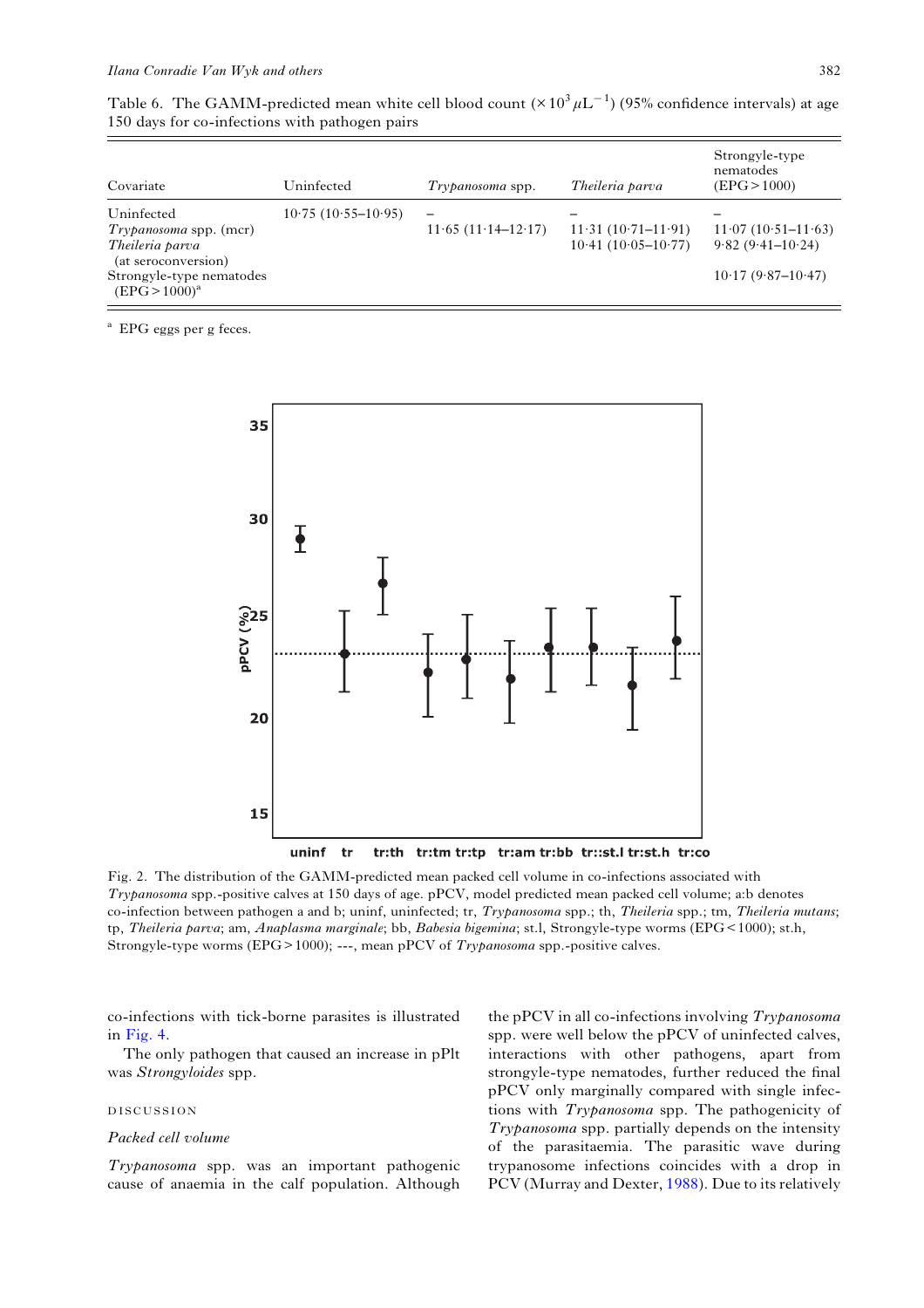<span id="page-9-0"></span>

| Table 6. The GAMM-predicted mean white cell blood count $(\times 10^3 \mu L^{-1})$ (95% confidence intervals) at age |  |  |  |
|----------------------------------------------------------------------------------------------------------------------|--|--|--|
| 150 days for co-infections with pathogen pairs                                                                       |  |  |  |

| Covariate                                                                                                                               | Uninfected           | $Trypanosoma$ spp.                                 | Theileria parva                                 | Strongyle-type<br>nematodes<br>(EPG > 1000)                           |
|-----------------------------------------------------------------------------------------------------------------------------------------|----------------------|----------------------------------------------------|-------------------------------------------------|-----------------------------------------------------------------------|
| Uninfected<br><i>Trypanosoma</i> spp. (mcr)<br>Theileria parva<br>(at seroconversion)<br>Strongyle-type nematodes<br>$(EPG > 1000)^{a}$ | $10.75(10.55-10.95)$ | $\overline{\phantom{0}}$<br>$11.65(11.14 - 12.17)$ | $11.31 (10.71 - 11.91)$<br>$10.41(10.05-10.77)$ | $11.07(10.51 - 11.63)$<br>$9.82(9.41-10.24)$<br>$10.17(9.87 - 10.47)$ |

<sup>a</sup> EPG eggs per g feces.



Fig. 2. The distribution of the GAMM-predicted mean packed cell volume in co-infections associated with Trypanosoma spp.-positive calves at 150 days of age. pPCV, model predicted mean packed cell volume; a:b denotes co-infection between pathogen a and b; uninf, uninfected; tr, Trypanosoma spp.; th, Theileria spp.; tm, Theileria mutans; tp, Theileria parva; am, Anaplasma marginale; bb, Babesia bigemina; st.l, Strongyle-type worms (EPG< 1000); st.h, Strongyle-type worms (EPG>1000); ---, mean pPCV of *Trypanosoma* spp.-positive calves.

co-infections with tick-borne parasites is illustrated in [Fig. 4.](#page-11-0)

The only pathogen that caused an increase in pPlt was Strongyloides spp.

#### DISCUSSION

#### Packed cell volume

Trypanosoma spp. was an important pathogenic cause of anaemia in the calf population. Although

the pPCV in all co-infections involving Trypanosoma spp. were well below the pPCV of uninfected calves, interactions with other pathogens, apart from strongyle-type nematodes, further reduced the final pPCV only marginally compared with single infections with Trypanosoma spp. The pathogenicity of Trypanosoma spp. partially depends on the intensity of the parasitaemia. The parasitic wave during trypanosome infections coincides with a drop in PCV (Murray and Dexter, [1988\)](#page-14-0). Due to its relatively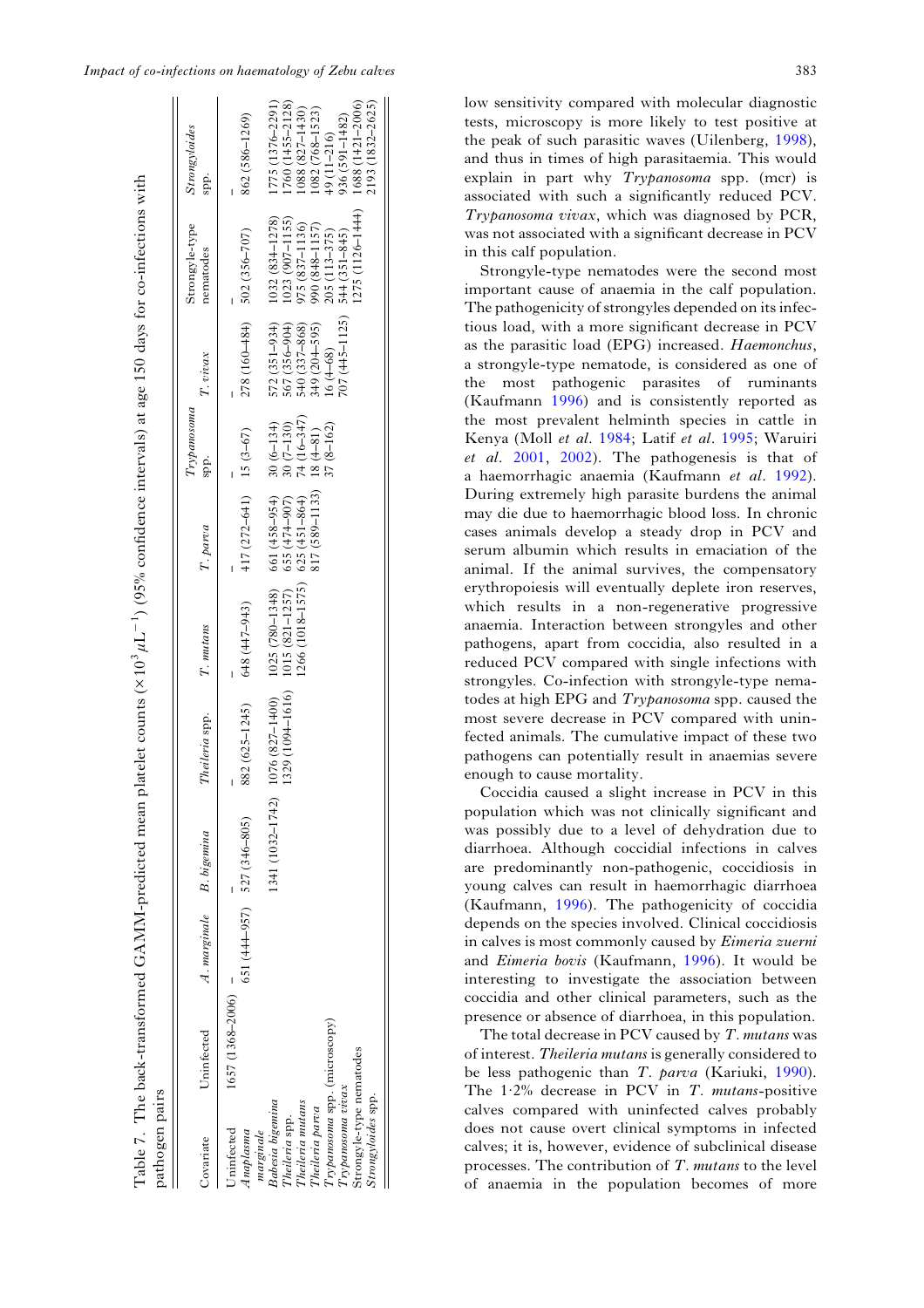$\sim$   $\sim$   $\mu$ 

 $\mathbf{u}$ 

<span id="page-10-0"></span>

| pathogen pairs                                                                                                                                                                                                                               |                     |                              |                  |                                      |                                                                                                                           |                                                             |                                                                                 |                                                                                                                                            |                                                                                                                                   |                                                                                                                                                                       |
|----------------------------------------------------------------------------------------------------------------------------------------------------------------------------------------------------------------------------------------------|---------------------|------------------------------|------------------|--------------------------------------|---------------------------------------------------------------------------------------------------------------------------|-------------------------------------------------------------|---------------------------------------------------------------------------------|--------------------------------------------------------------------------------------------------------------------------------------------|-----------------------------------------------------------------------------------------------------------------------------------|-----------------------------------------------------------------------------------------------------------------------------------------------------------------------|
| Covariate                                                                                                                                                                                                                                    | Uninfected          | A. marginale B. bigemina     |                  | Theileria spp.                       | T. mutans                                                                                                                 | T. parva                                                    | Trypanosoma<br>spp.                                                             | $T$ . vivax                                                                                                                                | Strongyle-type<br>nematodes                                                                                                       | Strongyloides<br>spp.                                                                                                                                                 |
| $Typano soma$ spp. (microscopy)<br>Strongyle-type nematodes<br>${\cal T}$ rypanosoma $v$ i $c$ ax<br>Strongyloides spp.<br>Babesia bigemina<br>Theileria mutans<br>Theileria parva<br>Theileria spp.<br>Jninfected<br>marginale<br>Anaplasma | $1657(1368 - 2006)$ | $651(44+957)$ $527(346-805)$ | 1341 (1032–1742) | $1076(827 - 1400)$<br>882 (625-1245) | $1025(780-1348)$ 661 (458-954)<br>$1266(1018 - 1575)$ 625 (451-864)<br>$1329(1094-1616)$ 1015 (821-1257)<br>648 (447-943) | $417(272-641)$ 15 (3-67)<br>817 (589-1133)<br>655 (474-907) | $74(16 - 347)$<br>$30(6 - 134)$<br>$30(7 - 130)$<br>$37(8 - 162)$<br>$18 (+81)$ | $278(160 - 484)$ $502(356 - 707)$<br>$(07(445 - 1125))$<br>$572(351-934)$<br>540 (337-868)<br>567 (356-904)<br>349 (204-595)<br>$16(4-68)$ | 1275 (1126-1444)<br>$1032(83 + 1278)$<br>1023 (907-1155)<br>975 (837–1136)<br>990 (848–1157)<br>205 (113–375)<br>$544(351 - 845)$ | 1775 (1376–2291)<br>1760 (1455–2128)<br>1088 (827-1430)<br>1082 (768-1523)<br>1688 (1421-2006)<br>2193 (1832-2625)<br>936 (591-1482)<br>862 (586-1269)<br>49 (11-216) |

Table 7. The back-transformed GAMM-predicted mean platelet counts (× 10

 $\mu$ L

−1) (95% con

fidence intervals) at age 150 days for co-infections with

low sensitivity compared with molecular diagnostic tests, microscopy is more likely to test positive at the peak of such parasitic waves (Uilenberg, [1998\)](#page-14-0), and thus in times of high parasitaemia. This would explain in part why Trypanosoma spp. (mcr) is associated with such a significantly reduced PCV. Trypanosoma vivax, which was diagnosed by PCR, was not associated with a significant decrease in PCV in this calf population.

Strongyle-type nematodes were the second most important cause of anaemia in the calf population. The pathogenicity of strongyles depended on its infectious load, with a more significant decrease in PCV as the parasitic load (EPG) increased. Haemonchus, a strongyle-type nematode, is considered as one of the most pathogenic parasites of ruminants (Kaufmann [1996\)](#page-14-0) and is consistently reported as the most prevalent helminth species in cattle in Kenya (Moll et al. [1984](#page-14-0); Latif et al. [1995](#page-14-0); Waruiri et al. [2001](#page-15-0), [2002](#page-15-0)). The pathogenesis is that of a haemorrhagic anaemia (Kaufmann et al. [1992\)](#page-14-0). During extremely high parasite burdens the animal may die due to haemorrhagic blood loss. In chronic cases animals develop a steady drop in PCV and serum albumin which results in emaciation of the animal. If the animal survives, the compensatory erythropoiesis will eventually deplete iron reserves, which results in a non-regenerative progressive anaemia. Interaction between strongyles and other pathogens, apart from coccidia, also resulted in a reduced PCV compared with single infections with strongyles. Co-infection with strongyle-type nematodes at high EPG and Trypanosoma spp. caused the most severe decrease in PCV compared with uninfected animals. The cumulative impact of these two pathogens can potentially result in anaemias severe enough to cause mortality.

Coccidia caused a slight increase in PCV in this population which was not clinically significant and was possibly due to a level of dehydration due to diarrhoea. Although coccidial infections in calves are predominantly non-pathogenic, coccidiosis in young calves can result in haemorrhagic diarrhoea (Kaufmann, [1996](#page-14-0)). The pathogenicity of coccidia depends on the species involved. Clinical coccidiosis in calves is most commonly caused by Eimeria zuerni and Eimeria bovis (Kaufmann, [1996\)](#page-14-0). It would be interesting to investigate the association between coccidia and other clinical parameters, such as the presence or absence of diarrhoea, in this population.

The total decrease in PCV caused by  $T$ . mutans was of interest. Theileria mutans is generally considered to be less pathogenic than T. parva (Kariuki, [1990\)](#page-14-0). The  $1.2\%$  decrease in PCV in T. mutans-positive calves compared with uninfected calves probably does not cause overt clinical symptoms in infected calves; it is, however, evidence of subclinical disease processes. The contribution of T. mutans to the level of anaemia in the population becomes of more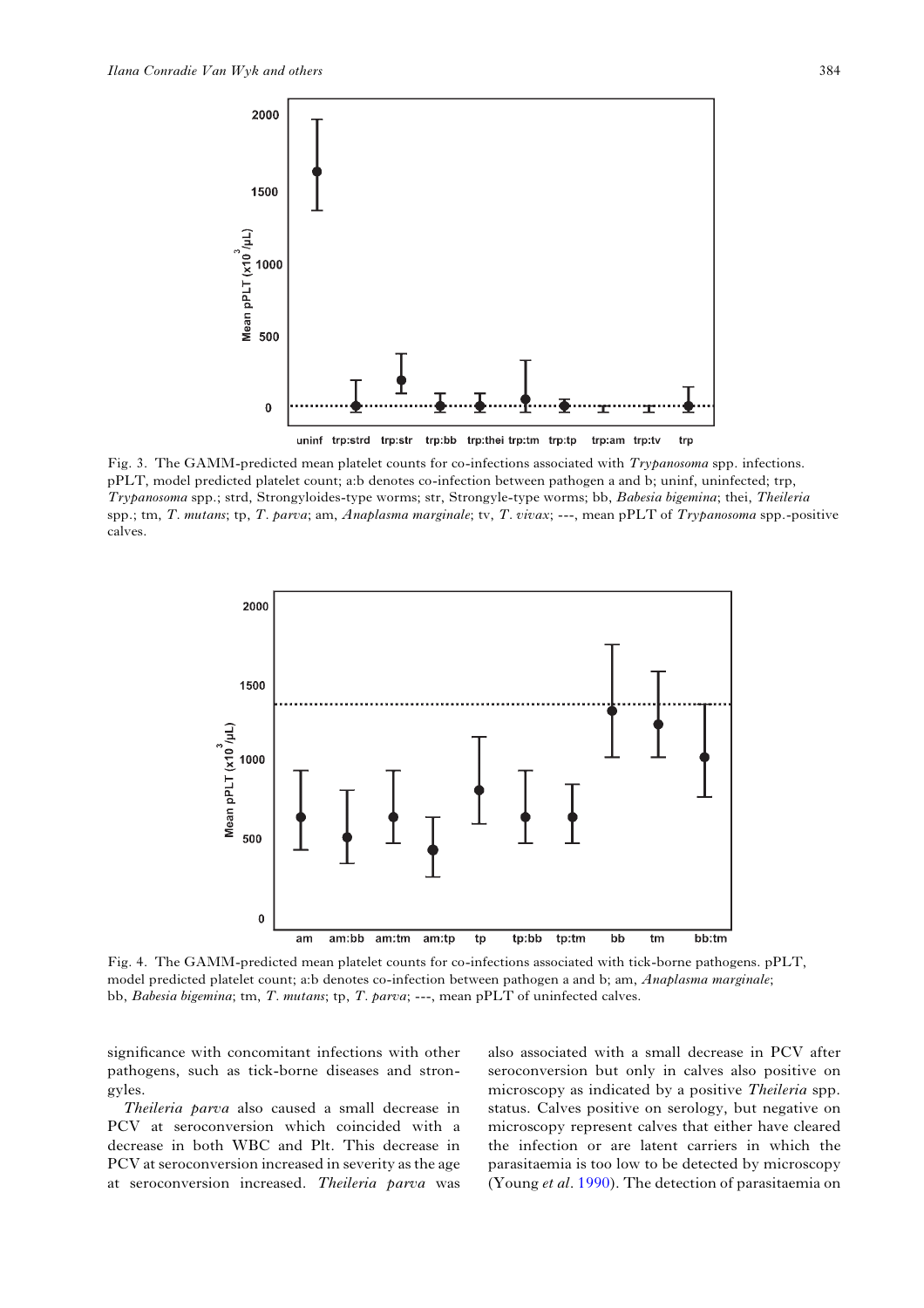<span id="page-11-0"></span>

Fig. 3. The GAMM-predicted mean platelet counts for co-infections associated with Trypanosoma spp. infections. pPLT, model predicted platelet count; a:b denotes co-infection between pathogen a and b; uninf, uninfected; trp, Trypanosoma spp.; strd, Strongyloides-type worms; str, Strongyle-type worms; bb, Babesia bigemina; thei, Theileria spp.; tm, T. mutans; tp, T. parva; am, Anaplasma marginale; tv, T. vivax; ---, mean pPLT of Trypanosoma spp.-positive calves.



Fig. 4. The GAMM-predicted mean platelet counts for co-infections associated with tick-borne pathogens. pPLT, model predicted platelet count; a:b denotes co-infection between pathogen a and b; am, Anaplasma marginale; bb, Babesia bigemina; tm, T. mutans; tp, T. parva; ---, mean pPLT of uninfected calves.

significance with concomitant infections with other pathogens, such as tick-borne diseases and strongyles.

Theileria parva also caused a small decrease in PCV at seroconversion which coincided with a decrease in both WBC and Plt. This decrease in PCV at seroconversion increased in severity as the age at seroconversion increased. Theileria parva was also associated with a small decrease in PCV after seroconversion but only in calves also positive on microscopy as indicated by a positive Theileria spp. status. Calves positive on serology, but negative on microscopy represent calves that either have cleared the infection or are latent carriers in which the parasitaemia is too low to be detected by microscopy (Young et al. [1990\)](#page-15-0). The detection of parasitaemia on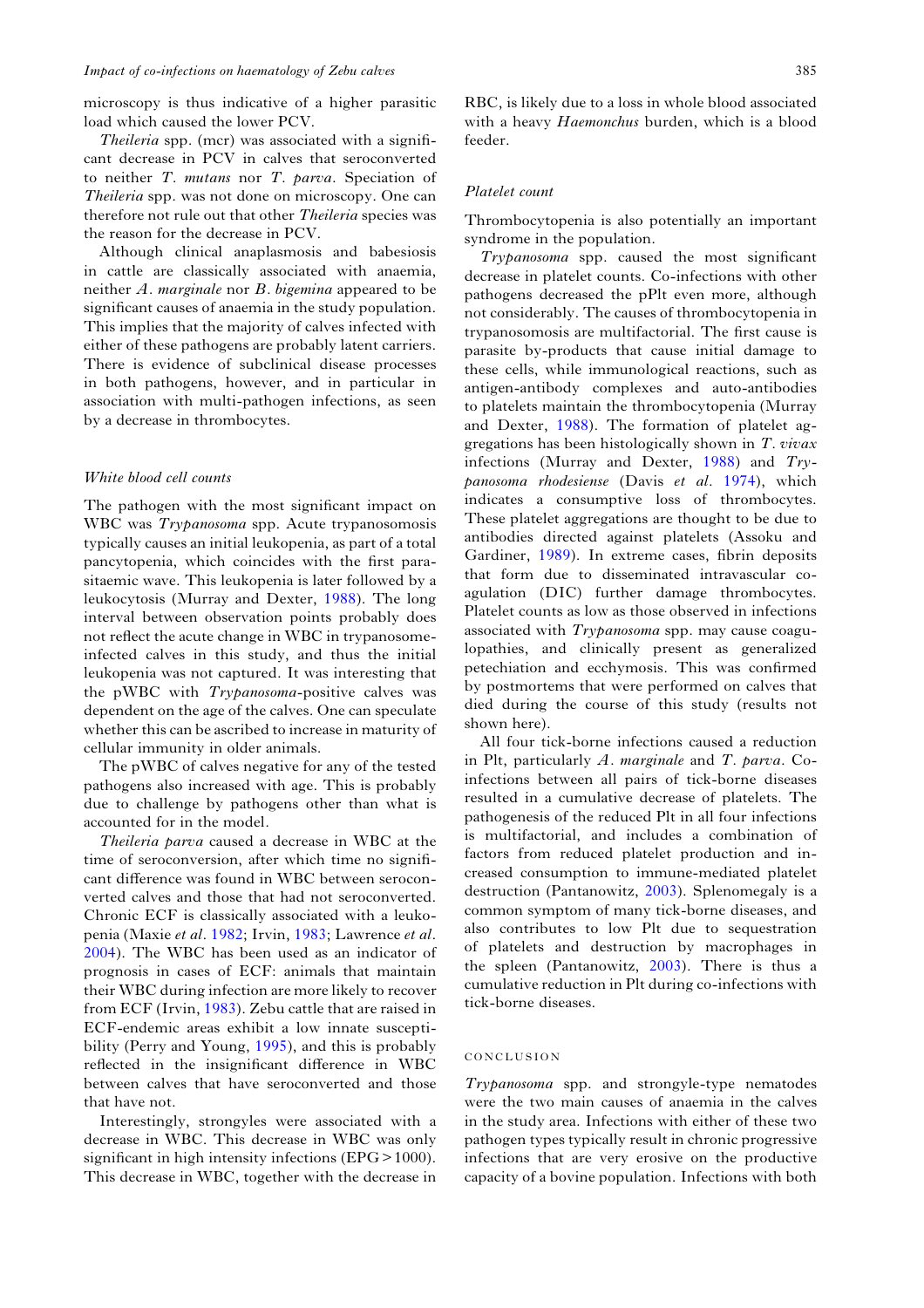microscopy is thus indicative of a higher parasitic load which caused the lower PCV.

Theileria spp. (mcr) was associated with a significant decrease in PCV in calves that seroconverted to neither T. mutans nor T. parva. Speciation of Theileria spp. was not done on microscopy. One can therefore not rule out that other Theileria species was the reason for the decrease in PCV.

Although clinical anaplasmosis and babesiosis in cattle are classically associated with anaemia, neither A. marginale nor B. bigemina appeared to be significant causes of anaemia in the study population. This implies that the majority of calves infected with either of these pathogens are probably latent carriers. There is evidence of subclinical disease processes in both pathogens, however, and in particular in association with multi-pathogen infections, as seen by a decrease in thrombocytes.

#### White blood cell counts

The pathogen with the most significant impact on WBC was *Trypanosoma* spp. Acute trypanosomosis typically causes an initial leukopenia, as part of a total pancytopenia, which coincides with the first parasitaemic wave. This leukopenia is later followed by a leukocytosis (Murray and Dexter, [1988](#page-14-0)). The long interval between observation points probably does not reflect the acute change in WBC in trypanosomeinfected calves in this study, and thus the initial leukopenia was not captured. It was interesting that the pWBC with Trypanosoma-positive calves was dependent on the age of the calves. One can speculate whether this can be ascribed to increase in maturity of cellular immunity in older animals.

The pWBC of calves negative for any of the tested pathogens also increased with age. This is probably due to challenge by pathogens other than what is accounted for in the model.

Theileria parva caused a decrease in WBC at the time of seroconversion, after which time no significant difference was found in WBC between seroconverted calves and those that had not seroconverted. Chronic ECF is classically associated with a leukopenia (Maxie et al. [1982;](#page-14-0) Irvin, [1983](#page-14-0); Lawrence et al. [2004\)](#page-14-0). The WBC has been used as an indicator of prognosis in cases of ECF: animals that maintain their WBC during infection are more likely to recover from ECF (Irvin, [1983](#page-14-0)). Zebu cattle that are raised in ECF-endemic areas exhibit a low innate susceptibility (Perry and Young, [1995\)](#page-14-0), and this is probably reflected in the insignificant difference in WBC between calves that have seroconverted and those that have not.

Interestingly, strongyles were associated with a decrease in WBC. This decrease in WBC was only significant in high intensity infections (EPG > 1000). This decrease in WBC, together with the decrease in

RBC, is likely due to a loss in whole blood associated with a heavy Haemonchus burden, which is a blood feeder.

#### Platelet count

Thrombocytopenia is also potentially an important syndrome in the population.

Trypanosoma spp. caused the most significant decrease in platelet counts. Co-infections with other pathogens decreased the pPlt even more, although not considerably. The causes of thrombocytopenia in trypanosomosis are multifactorial. The first cause is parasite by-products that cause initial damage to these cells, while immunological reactions, such as antigen-antibody complexes and auto-antibodies to platelets maintain the thrombocytopenia (Murray and Dexter, [1988\)](#page-14-0). The formation of platelet aggregations has been histologically shown in T. vivax infections (Murray and Dexter, [1988](#page-14-0)) and Trypanosoma rhodesiense (Davis et al. [1974\)](#page-14-0), which indicates a consumptive loss of thrombocytes. These platelet aggregations are thought to be due to antibodies directed against platelets (Assoku and Gardiner, [1989](#page-13-0)). In extreme cases, fibrin deposits that form due to disseminated intravascular coagulation (DIC) further damage thrombocytes. Platelet counts as low as those observed in infections associated with Trypanosoma spp. may cause coagulopathies, and clinically present as generalized petechiation and ecchymosis. This was confirmed by postmortems that were performed on calves that died during the course of this study (results not shown here).

All four tick-borne infections caused a reduction in Plt, particularly  $A$ . marginale and  $T$ . parva. Coinfections between all pairs of tick-borne diseases resulted in a cumulative decrease of platelets. The pathogenesis of the reduced Plt in all four infections is multifactorial, and includes a combination of factors from reduced platelet production and increased consumption to immune-mediated platelet destruction (Pantanowitz, [2003](#page-14-0)). Splenomegaly is a common symptom of many tick-borne diseases, and also contributes to low Plt due to sequestration of platelets and destruction by macrophages in the spleen (Pantanowitz, [2003\)](#page-14-0). There is thus a cumulative reduction in Plt during co-infections with tick-borne diseases.

#### CONCLUSION

Trypanosoma spp. and strongyle-type nematodes were the two main causes of anaemia in the calves in the study area. Infections with either of these two pathogen types typically result in chronic progressive infections that are very erosive on the productive capacity of a bovine population. Infections with both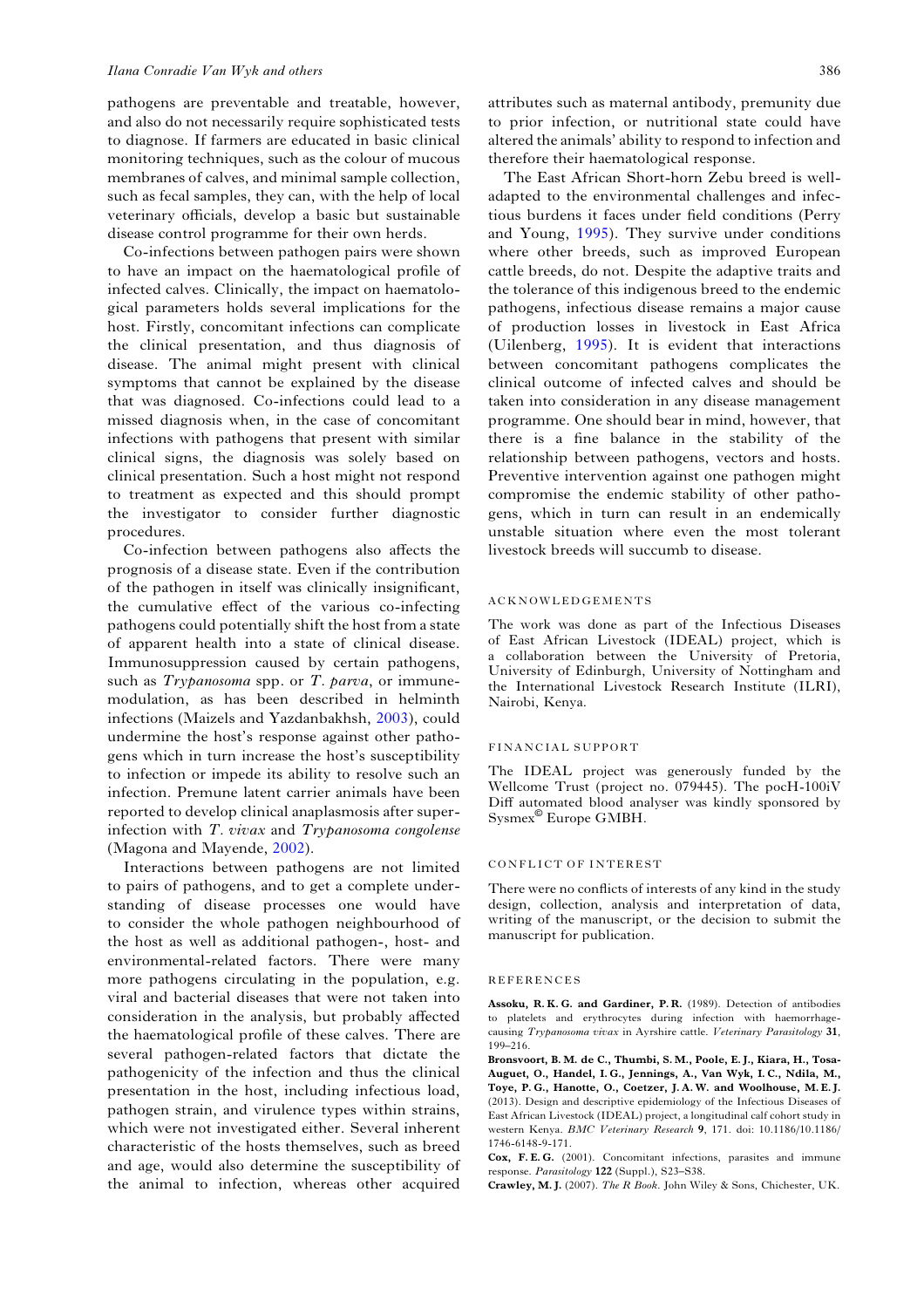<span id="page-13-0"></span>pathogens are preventable and treatable, however, and also do not necessarily require sophisticated tests to diagnose. If farmers are educated in basic clinical monitoring techniques, such as the colour of mucous membranes of calves, and minimal sample collection, such as fecal samples, they can, with the help of local veterinary officials, develop a basic but sustainable disease control programme for their own herds.

Co-infections between pathogen pairs were shown to have an impact on the haematological profile of infected calves. Clinically, the impact on haematological parameters holds several implications for the host. Firstly, concomitant infections can complicate the clinical presentation, and thus diagnosis of disease. The animal might present with clinical symptoms that cannot be explained by the disease that was diagnosed. Co-infections could lead to a missed diagnosis when, in the case of concomitant infections with pathogens that present with similar clinical signs, the diagnosis was solely based on clinical presentation. Such a host might not respond to treatment as expected and this should prompt the investigator to consider further diagnostic procedures.

Co-infection between pathogens also affects the prognosis of a disease state. Even if the contribution of the pathogen in itself was clinically insignificant, the cumulative effect of the various co-infecting pathogens could potentially shift the host from a state of apparent health into a state of clinical disease. Immunosuppression caused by certain pathogens, such as  $Trypanosoma$  spp. or  $T.$   $parva$ , or immunemodulation, as has been described in helminth infections (Maizels and Yazdanbakhsh, [2003](#page-14-0)), could undermine the host's response against other pathogens which in turn increase the host's susceptibility to infection or impede its ability to resolve such an infection. Premune latent carrier animals have been reported to develop clinical anaplasmosis after superinfection with T. vivax and Trypanosoma congolense (Magona and Mayende, [2002](#page-14-0)).

Interactions between pathogens are not limited to pairs of pathogens, and to get a complete understanding of disease processes one would have to consider the whole pathogen neighbourhood of the host as well as additional pathogen-, host- and environmental-related factors. There were many more pathogens circulating in the population, e.g. viral and bacterial diseases that were not taken into consideration in the analysis, but probably affected the haematological profile of these calves. There are several pathogen-related factors that dictate the pathogenicity of the infection and thus the clinical presentation in the host, including infectious load, pathogen strain, and virulence types within strains, which were not investigated either. Several inherent characteristic of the hosts themselves, such as breed and age, would also determine the susceptibility of the animal to infection, whereas other acquired

attributes such as maternal antibody, premunity due to prior infection, or nutritional state could have altered the animals' ability to respond to infection and therefore their haematological response.

The East African Short-horn Zebu breed is welladapted to the environmental challenges and infectious burdens it faces under field conditions (Perry and Young, [1995](#page-14-0)). They survive under conditions where other breeds, such as improved European cattle breeds, do not. Despite the adaptive traits and the tolerance of this indigenous breed to the endemic pathogens, infectious disease remains a major cause of production losses in livestock in East Africa (Uilenberg, [1995](#page-14-0)). It is evident that interactions between concomitant pathogens complicates the clinical outcome of infected calves and should be taken into consideration in any disease management programme. One should bear in mind, however, that there is a fine balance in the stability of the relationship between pathogens, vectors and hosts. Preventive intervention against one pathogen might compromise the endemic stability of other pathogens, which in turn can result in an endemically unstable situation where even the most tolerant livestock breeds will succumb to disease.

#### ACKNOWLEDGEMENTS

The work was done as part of the Infectious Diseases of East African Livestock (IDEAL) project, which is a collaboration between the University of Pretoria, University of Edinburgh, University of Nottingham and the International Livestock Research Institute (ILRI), Nairobi, Kenya.

#### FINANCIAL SUPPORT

The IDEAL project was generously funded by the Wellcome Trust (project no. 079445). The pocH-100iV Diff automated blood analyser was kindly sponsored by Sysmex© Europe GMBH.

#### CONFLICT OF INTEREST

There were no conflicts of interests of any kind in the study design, collection, analysis and interpretation of data, writing of the manuscript, or the decision to submit the manuscript for publication.

#### REFERENCES

Assoku, R. K. G. and Gardiner, P. R. (1989). Detection of antibodies to platelets and erythrocytes during infection with haemorrhagecausing Trypanosoma vivax in Ayrshire cattle. Veterinary Parasitology 31, 199–216.

Bronsvoort, B. M. de C., Thumbi, S. M., Poole, E. J., Kiara, H., Tosa-Auguet, O., Handel, I. G., Jennings, A., Van Wyk, I. C., Ndila, M., Toye, P. G., Hanotte, O., Coetzer, J. A. W. and Woolhouse, M. E. J. (2013). Design and descriptive epidemiology of the Infectious Diseases of East African Livestock (IDEAL) project, a longitudinal calf cohort study in western Kenya. BMC Veterinary Research 9, 171. doi: 10.1186/10.1186/ 1746-6148-9-171.

Cox, F.E.G. (2001). Concomitant infections, parasites and immune response. Parasitology 122 (Suppl.), S23–S38.

Crawley, M. J. (2007). The R Book. John Wiley & Sons, Chichester, UK.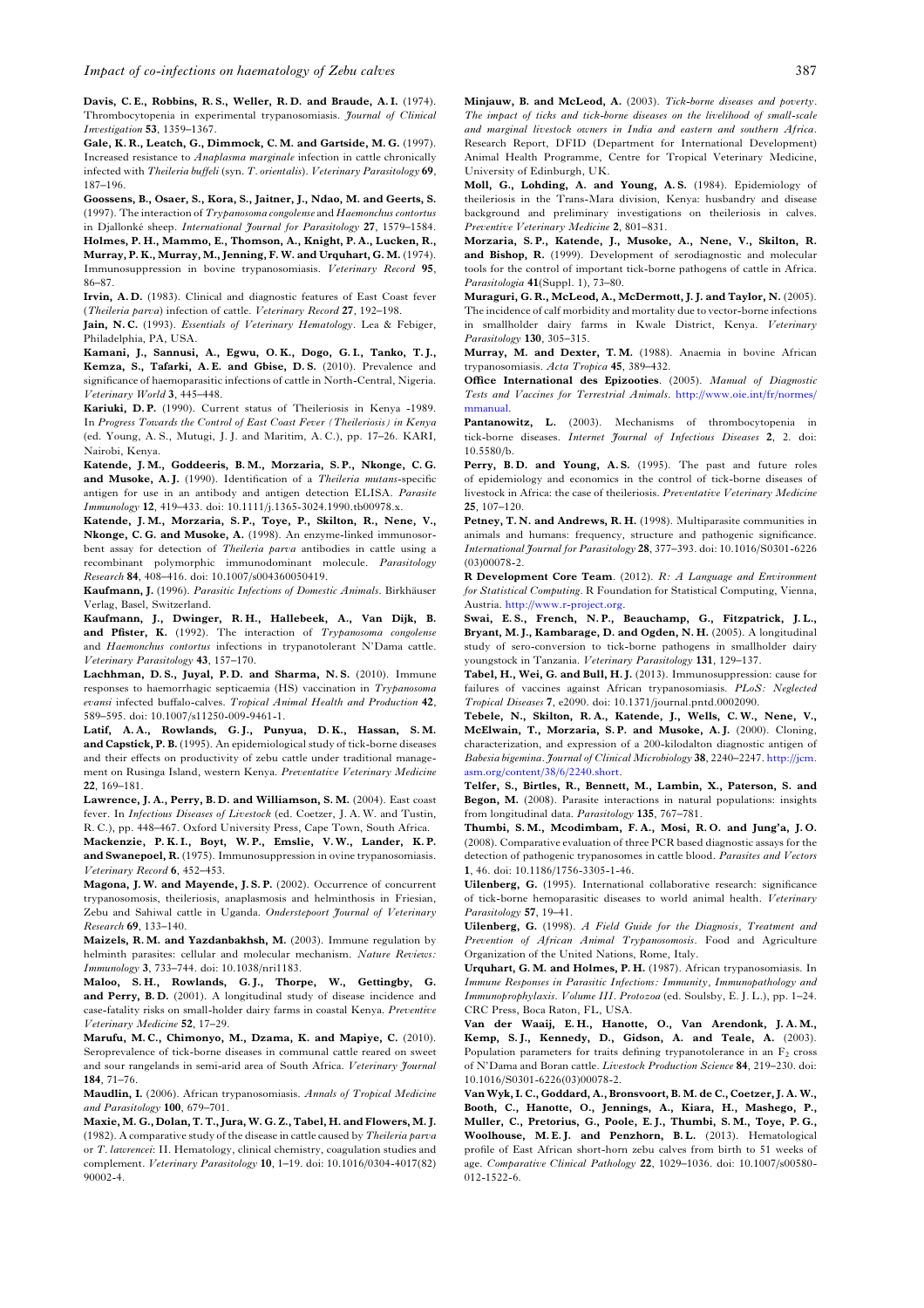<span id="page-14-0"></span>Davis, C. E., Robbins, R. S., Weller, R. D. and Braude, A. I. (1974). Thrombocytopenia in experimental trypanosomiasis. Journal of Clinical Investigation 53, 1359–1367.

Gale, K. R., Leatch, G., Dimmock, C. M. and Gartside, M. G. (1997). Increased resistance to Anaplasma marginale infection in cattle chronically infected with Theileria buffeli (syn. T. orientalis). Veterinary Parasitology 69, 187–196.

Goossens, B., Osaer, S., Kora, S., Jaitner, J., Ndao, M. and Geerts, S. (1997). The interaction of Trypanosoma congolense and Haemonchus contortus in Djallonké sheep. International Journal for Parasitology 27, 1579–1584.

Holmes, P. H., Mammo, E., Thomson, A., Knight, P. A., Lucken, R., Murray, P. K., Murray, M., Jenning, F. W. and Urquhart, G. M. (1974). Immunosuppression in bovine trypanosomiasis. Veterinary Record 95, 86–87.

Irvin, A. D. (1983). Clinical and diagnostic features of East Coast fever (Theileria parva) infection of cattle. Veterinary Record 27, 192–198.

Jain, N.C. (1993). Essentials of Veterinary Hematology. Lea & Febiger, Philadelphia, PA, USA.

Kamani, J., Sannusi, A., Egwu, O. K., Dogo, G. I., Tanko, T. J., Kemza, S., Tafarki, A. E. and Gbise, D. S. (2010). Prevalence and significance of haemoparasitic infections of cattle in North-Central, Nigeria. Veterinary World 3, 445–448.

Kariuki, D. P. (1990). Current status of Theileriosis in Kenya -1989. In Progress Towards the Control of East Coast Fever (Theileriosis) in Kenya (ed. Young, A. S., Mutugi, J. J. and Maritim, A. C.), pp. 17–26. KARI, Nairobi, Kenya.

Katende, J. M., Goddeeris, B. M., Morzaria, S. P., Nkonge, C. G. and Musoke, A.J. (1990). Identification of a Theileria mutans-specific antigen for use in an antibody and antigen detection ELISA. Parasite Immunology 12, 419–433. doi: 10.1111/j.1365-3024.1990.tb00978.x.

Katende, J. M., Morzaria, S. P., Toye, P., Skilton, R., Nene, V., Nkonge, C. G. and Musoke, A. (1998). An enzyme-linked immunosorbent assay for detection of Theileria parva antibodies in cattle using a recombinant polymorphic immunodominant molecule. Parasitology Research 84, 408–416. doi: 10.1007/s004360050419.

Kaufmann, J. (1996). Parasitic Infections of Domestic Animals. Birkhäuser Verlag, Basel, Switzerland.

Kaufmann, J., Dwinger, R. H., Hallebeek, A., Van Dijk, B. and Pfister, K. (1992). The interaction of Trypanosoma congolense and Haemonchus contortus infections in trypanotolerant N'Dama cattle. Veterinary Parasitology 43, 157–170.

Lachhman, D.S., Juyal, P.D. and Sharma, N.S. (2010). Immune responses to haemorrhagic septicaemia (HS) vaccination in Trypanosoma evansi infected buffalo-calves. Tropical Animal Health and Production 42, 589–595. doi: 10.1007/s11250-009-9461-1.

Latif, A.A., Rowlands, G.J., Punyua, D.K., Hassan, S.M. and Capstick, P. B. (1995). An epidemiological study of tick-borne diseases and their effects on productivity of zebu cattle under traditional management on Rusinga Island, western Kenya. Preventative Veterinary Medicine 22, 169–181.

Lawrence, J. A., Perry, B. D. and Williamson, S. M. (2004). East coast fever. In Infectious Diseases of Livestock (ed. Coetzer, J. A. W. and Tustin, R. C.), pp. 448–467. Oxford University Press, Cape Town, South Africa.

Mackenzie, P. K. I., Boyt, W. P., Emslie, V. W., Lander, K. P. and Swanepoel, R. (1975). Immunosuppression in ovine trypanosomiasis. Veterinary Record 6, 452–453.

Magona, J. W. and Mayende, J. S. P. (2002). Occurrence of concurrent trypanosomosis, theileriosis, anaplasmosis and helminthosis in Friesian, Zebu and Sahiwal cattle in Uganda. Onderstepoort Journal of Veterinary Research 69, 133–140.

Maizels, R. M. and Yazdanbakhsh, M. (2003). Immune regulation by helminth parasites: cellular and molecular mechanism. Nature Reviews: Immunology 3, 733–744. doi: 10.1038/nri1183.

Maloo, S. H., Rowlands, G. J., Thorpe, W., Gettingby, G. and Perry, B. D. (2001). A longitudinal study of disease incidence and case-fatality risks on small-holder dairy farms in coastal Kenya. Preventive Veterinary Medicine 52, 17–29.

Marufu, M. C., Chimonyo, M., Dzama, K. and Mapiye, C. (2010). Seroprevalence of tick-borne diseases in communal cattle reared on sweet and sour rangelands in semi-arid area of South Africa. Veterinary Journal 184, 71–76.

Maudlin, I. (2006). African trypanosomiasis. Annals of Tropical Medicine and Parasitology 100, 679–701.

Maxie, M. G., Dolan, T. T., Jura, W. G. Z., Tabel, H. and Flowers, M. J. (1982). A comparative study of the disease in cattle caused by Theileria parva or T. lawrencei: II. Hematology, clinical chemistry, coagulation studies and complement. Veterinary Parasitology 10, 1–19. doi: 10.1016/0304-4017(82) 90002-4.

Minjauw, B. and McLeod, A. (2003). Tick-borne diseases and poverty. The impact of ticks and tick-borne diseases on the livelihood of small-scale and marginal livestock owners in India and eastern and southern Africa. Research Report, DFID (Department for International Development) Animal Health Programme, Centre for Tropical Veterinary Medicine, University of Edinburgh, UK.

Moll, G., Lohding, A. and Young, A. S. (1984). Epidemiology of theileriosis in the Trans-Mara division, Kenya: husbandry and disease background and preliminary investigations on theileriosis in calves. Preventive Veterinary Medicine 2, 801–831.

Morzaria, S. P., Katende, J., Musoke, A., Nene, V., Skilton, R. and Bishop, R. (1999). Development of serodiagnostic and molecular tools for the control of important tick-borne pathogens of cattle in Africa. Parasitologia 41(Suppl. 1), 73–80.

Muraguri, G. R., McLeod, A., McDermott, J. J. and Taylor, N. (2005). The incidence of calf morbidity and mortality due to vector-borne infections in smallholder dairy farms in Kwale District, Kenya. Veterinary Parasitology 130, 305–315.

Murray, M. and Dexter, T.M. (1988). Anaemia in bovine African trypanosomiasis. Acta Tropica 45, 389–432.

Office International des Epizooties. (2005). Manual of Diagnostic Tests and Vaccines for Terrestrial Animals. [http://www.oie.int/fr/normes/](http://www.oie.int/fr/normes/mmanual) [mmanual](http://www.oie.int/fr/normes/mmanual).

Pantanowitz, L. (2003). Mechanisms of thrombocytopenia in tick-borne diseases. Internet Journal of Infectious Diseases 2, 2. doi: 10.5580/b.

Perry, B.D. and Young, A.S. (1995). The past and future roles of epidemiology and economics in the control of tick-borne diseases of livestock in Africa: the case of theileriosis. Preventative Veterinary Medicine 25, 107–120.

Petney, T. N. and Andrews, R. H. (1998). Multiparasite communities in animals and humans: frequency, structure and pathogenic significance. International Journal for Parasitology 28, 377–393. doi: 10.1016/S0301-6226 (03)00078-2.

R Development Core Team. (2012). R: A Language and Environment for Statistical Computing. R Foundation for Statistical Computing, Vienna, Austria. [http://www.r-project.org.](http://www.r-project.org)

Swai, E. S., French, N. P., Beauchamp, G., Fitzpatrick, J. L., Bryant, M. J., Kambarage, D. and Ogden, N. H. (2005). A longitudinal study of sero-conversion to tick-borne pathogens in smallholder dairy youngstock in Tanzania. Veterinary Parasitology 131, 129–137.

Tabel, H., Wei, G. and Bull, H. J. (2013). Immunosuppression: cause for failures of vaccines against African trypanosomiasis. PLoS: Neglected Tropical Diseases 7, e2090. doi: 10.1371/journal.pntd.0002090.

Tebele, N., Skilton, R. A., Katende, J., Wells, C. W., Nene, V., McElwain, T., Morzaria, S. P. and Musoke, A. J. (2000). Cloning, characterization, and expression of a 200-kilodalton diagnostic antigen of Babesia bigemina. Journal of Clinical Microbiology 38, 2240–2247. [http://jcm.](http://jcm.asm.org/content/38/6/2240.short) [asm.org/content/38/6/2240.short.](http://jcm.asm.org/content/38/6/2240.short)

Telfer, S., Birtles, R., Bennett, M., Lambin, X., Paterson, S. and Begon, M. (2008). Parasite interactions in natural populations: insights from longitudinal data. Parasitology 135, 767–781.

Thumbi, S. M., Mcodimbam, F. A., Mosi, R. O. and Jung*'*a, J. O. (2008). Comparative evaluation of three PCR based diagnostic assays for the detection of pathogenic trypanosomes in cattle blood. Parasites and Vectors 1, 46. doi: 10.1186/1756-3305-1-46.

Uilenberg, G. (1995). International collaborative research: significance of tick-borne hemoparasitic diseases to world animal health. Veterinary Parasitology 57, 19–41.

Uilenberg, G. (1998). A Field Guide for the Diagnosis, Treatment and Prevention of African Animal Trypanosomosis. Food and Agriculture Organization of the United Nations, Rome, Italy.

Urquhart, G. M. and Holmes, P. H. (1987). African trypanosomiasis. In Immune Responses in Parasitic Infections: Immunity, Immunopathology and Immunoprophylaxis. Volume III. Protozoa (ed. Soulsby, E. J. L.), pp. 1–24. CRC Press, Boca Raton, FL, USA.

Van der Waaij, E. H., Hanotte, O., Van Arendonk, J. A. M., Kemp, S. J., Kennedy, D., Gidson, A. and Teale, A. (2003). Population parameters for traits defining trypanotolerance in an  $F_2$  cross of N'Dama and Boran cattle. Livestock Production Science 84, 219–230. doi: 10.1016/S0301-6226(03)00078-2.

Van Wyk, I. C., Goddard, A., Bronsvoort, B. M. de C., Coetzer, J. A. W., Booth, C., Hanotte, O., Jennings, A., Kiara, H., Mashego, P., Muller, C., Pretorius, G., Poole, E. J., Thumbi, S. M., Toye, P. G., Woolhouse, M.E.J. and Penzhorn, B.L. (2013). Hematological profile of East African short-horn zebu calves from birth to 51 weeks of age. Comparative Clinical Pathology 22, 1029–1036. doi: 10.1007/s00580- 012-1522-6.